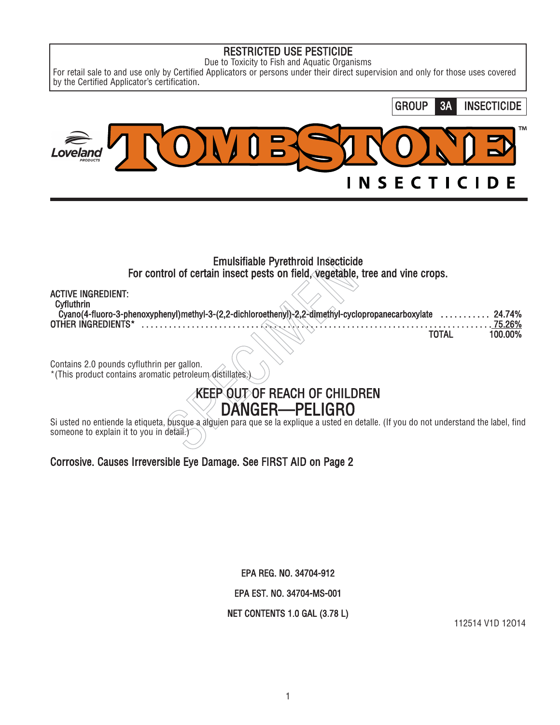# RESTRICTED USE PESTICIDE

Due to Toxicity to Fish and Aquatic Organisms

For retail sale to and use only by Certified Applicators or persons under their direct supervision and only for those uses covered by the Certified Applicator's certification.



\*(This product contains aromatic petroleum distillates.)

# KEEP OUT OF REACH OF CHILDREN DANGER—PELIGRO

Si usted no entiende la etiqueta, busque a alguien para que se la explique a usted en detalle. (If you do not understand the label, find someone to explain it to you in detail.)

# Corrosive. Causes Irreversible Eye Damage. See FIRST AID on Page 2

EPA REG. NO. 34704-912

EPA EST. NO. 34704-MS-001

# NET CONTENTS 1.0 GAL (3.78 L)

112514 V1D 12O14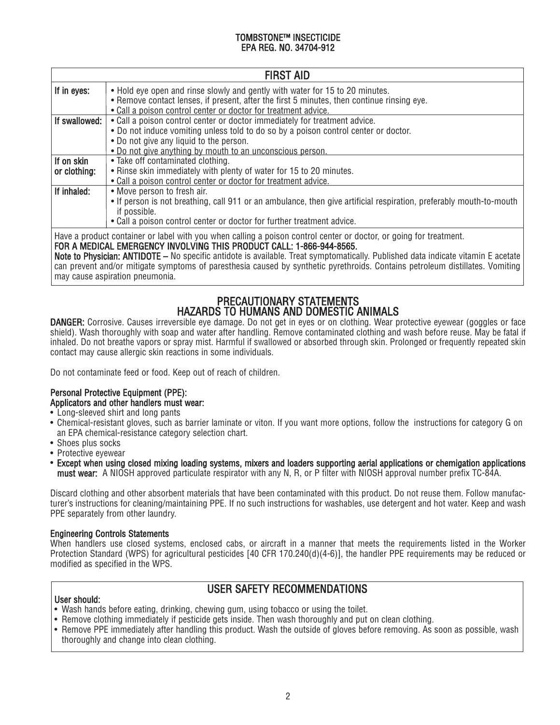| <b>FIRST AID</b> |                                                                                                                                                                                            |  |
|------------------|--------------------------------------------------------------------------------------------------------------------------------------------------------------------------------------------|--|
| If in eyes:      | • Hold eye open and rinse slowly and gently with water for 15 to 20 minutes.<br>• Remove contact lenses, if present, after the first 5 minutes, then continue rinsing eye.                 |  |
|                  | . Call a poison control center or doctor for treatment advice.                                                                                                                             |  |
| If swallowed:    | • Call a poison control center or doctor immediately for treatment advice.                                                                                                                 |  |
|                  | . Do not induce vomiting unless told to do so by a poison control center or doctor.                                                                                                        |  |
|                  | • Do not give any liquid to the person.                                                                                                                                                    |  |
|                  | • Do not give anything by mouth to an unconscious person.                                                                                                                                  |  |
| If on skin       | • Take off contaminated clothing.                                                                                                                                                          |  |
| or clothing:     | . Rinse skin immediately with plenty of water for 15 to 20 minutes.                                                                                                                        |  |
|                  | • Call a poison control center or doctor for treatment advice.                                                                                                                             |  |
| If inhaled:      | • Move person to fresh air.                                                                                                                                                                |  |
|                  | • If person is not breathing, call 911 or an ambulance, then give artificial respiration, preferably mouth-to-mouth                                                                        |  |
|                  | if possible.                                                                                                                                                                               |  |
|                  | • Call a poison control center or doctor for further treatment advice.                                                                                                                     |  |
|                  | Have a product container or label with you when calling a poison control center or doctor, or going for treatment.<br>FOR A MEDICAL EMERGENCY INVOLVING THIS PRODUCT CALL: 1-866-944-8565. |  |
|                  | Note to Physician: ANTIDOTE – No specific antidote is available. Treat symptomatically. Published data indicate vitamin E acetate                                                          |  |

can prevent and/or mitigate symptoms of paresthesia caused by synthetic pyrethroids. Contains petroleum distillates. Vomiting may cause aspiration pneumonia.

# PRECAUTIONARY STATEMENTS HAZARDS TO HUMANS AND DOMESTIC ANIMALS

DANGER: Corrosive. Causes irreversible eye damage. Do not get in eyes or on clothing. Wear protective eyewear (goggles or face shield). Wash thoroughly with soap and water after handling. Remove contaminated clothing and wash before reuse. May be fatal if inhaled. Do not breathe vapors or spray mist. Harmful if swallowed or absorbed through skin. Prolonged or frequently repeated skin contact may cause allergic skin reactions in some individuals.

Do not contaminate feed or food. Keep out of reach of children.

# Personal Protective Equipment (PPE): Applicators and other handlers must wear:

- Long-sleeved shirt and long pants
- Chemical-resistant gloves, such as barrier laminate or viton. If you want more options, follow the instructions for category G on an EPA chemical-resistance category selection chart.
- Shoes plus socks
- Protective eyewear
- Except when using closed mixing loading systems, mixers and loaders supporting aerial applications or chemigation applications must wear: A NIOSH approved particulate respirator with any N, R, or P filter with NIOSH approval number prefix TC-84A.

Discard clothing and other absorbent materials that have been contaminated with this product. Do not reuse them. Follow manufacturer's instructions for cleaning/maintaining PPE. If no such instructions for washables, use detergent and hot water. Keep and wash PPE separately from other laundry.

# Engineering Controls Statements

When handlers use closed systems, enclosed cabs, or aircraft in a manner that meets the requirements listed in the Worker Protection Standard (WPS) for agricultural pesticides [40 CFR 170.240(d)(4-6)], the handler PPE requirements may be reduced or modified as specified in the WPS.

# USER SAFETY RECOMMENDATIONS

# User should:

- Wash hands before eating, drinking, chewing gum, using tobacco or using the toilet.
- Remove clothing immediately if pesticide gets inside. Then wash thoroughly and put on clean clothing.
- Remove PPE immediately after handling this product. Wash the outside of gloves before removing. As soon as possible, wash thoroughly and change into clean clothing.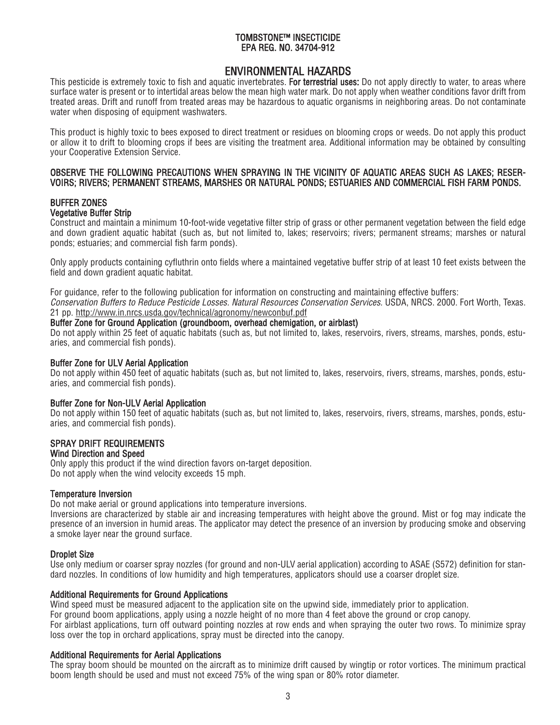# ENVIRONMENTAL HAZARDS

This pesticide is extremely toxic to fish and aquatic invertebrates. For terrestrial uses: Do not apply directly to water, to areas where surface water is present or to intertidal areas below the mean high water mark. Do not apply when weather conditions favor drift from treated areas. Drift and runoff from treated areas may be hazardous to aquatic organisms in neighboring areas. Do not contaminate water when disposing of equipment washwaters.

This product is highly toxic to bees exposed to direct treatment or residues on blooming crops or weeds. Do not apply this product or allow it to drift to blooming crops if bees are visiting the treatment area. Additional information may be obtained by consulting your Cooperative Extension Service.

# OBSERVE THE FOLLOWING PRECAUTIONS WHEN SPRAYING IN THE VICINITY OF AQUATIC AREAS SUCH AS LAKES; RESER-VOIRS; RIVERS; PERMANENT STREAMS, MARSHES OR NATURAL PONDS; ESTUARIES AND COMMERCIAL FISH FARM PONDS.

# BUFFER ZONES Vegetative Buffer Strip

Construct and maintain a minimum 10-foot-wide vegetative filter strip of grass or other permanent vegetation between the field edge and down gradient aquatic habitat (such as, but not limited to, lakes; reservoirs; rivers; permanent streams; marshes or natural ponds; estuaries; and commercial fish farm ponds).

Only apply products containing cyfluthrin onto fields where a maintained vegetative buffer strip of at least 10 feet exists between the field and down gradient aquatic habitat.

For guidance, refer to the following publication for information on constructing and maintaining effective buffers:

Conservation Buffers to Reduce Pesticide Losses. Natural Resources Conservation Services. USDA, NRCS. 2000. Fort Worth, Texas. 21 pp. http://www.in.nrcs.usda.gov/technical/agronomy/newconbuf.pdf

# Buffer Zone for Ground Application (groundboom, overhead chemigation, or airblast)

Do not apply within 25 feet of aquatic habitats (such as, but not limited to, lakes, reservoirs, rivers, streams, marshes, ponds, estuaries, and commercial fish ponds).

# Buffer Zone for ULV Aerial Application

Do not apply within 450 feet of aquatic habitats (such as, but not limited to, lakes, reservoirs, rivers, streams, marshes, ponds, estuaries, and commercial fish ponds).

# Buffer Zone for Non-ULV Aerial Application

Do not apply within 150 feet of aquatic habitats (such as, but not limited to, lakes, reservoirs, rivers, streams, marshes, ponds, estuaries, and commercial fish ponds).

#### SPRAY DRIFT REQUIREMENTS Wind Direction and Speed

Only apply this product if the wind direction favors on-target deposition. Do not apply when the wind velocity exceeds 15 mph.

#### Temperature Inversion

Do not make aerial or ground applications into temperature inversions.

Inversions are characterized by stable air and increasing temperatures with height above the ground. Mist or fog may indicate the presence of an inversion in humid areas. The applicator may detect the presence of an inversion by producing smoke and observing a smoke layer near the ground surface.

# Droplet Size

Use only medium or coarser spray nozzles (for ground and non-ULV aerial application) according to ASAE (S572) definition for standard nozzles. In conditions of low humidity and high temperatures, applicators should use a coarser droplet size.

#### Additional Requirements for Ground Applications

Wind speed must be measured adjacent to the application site on the upwind side, immediately prior to application. For ground boom applications, apply using a nozzle height of no more than 4 feet above the ground or crop canopy. For airblast applications, turn off outward pointing nozzles at row ends and when spraying the outer two rows. To minimize spray loss over the top in orchard applications, spray must be directed into the canopy.

# Additional Requirements for Aerial Applications

The spray boom should be mounted on the aircraft as to minimize drift caused by wingtip or rotor vortices. The minimum practical boom length should be used and must not exceed 75% of the wing span or 80% rotor diameter.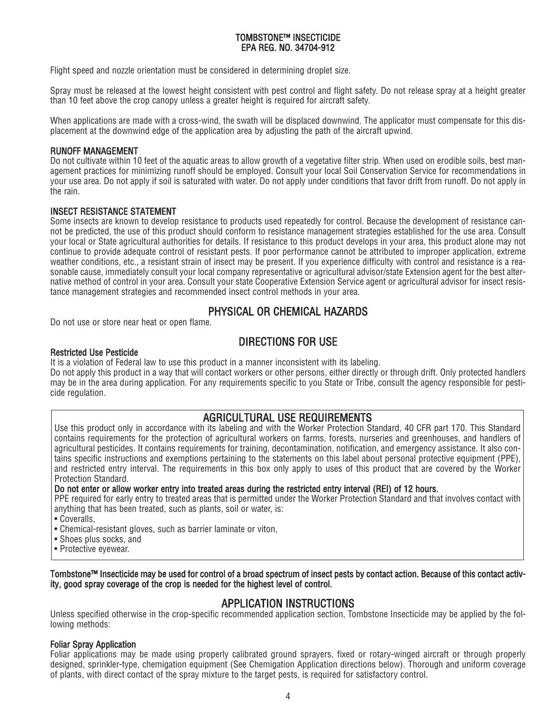Flight speed and nozzle orientation must be considered in determining droplet size.

Spray must be released at the lowest height consistent with pest control and flight safety. Do not release spray at a height greater than 10 feet above the crop canopy unless a greater height is required for aircraft safety.

When applications are made with a cross-wind, the swath will be displaced downwind. The applicator must compensate for this displacement at the downwind edge of the application area by adjusting the path of the aircraft upwind.

## RUNOFF MANAGEMENT

Do not cultivate within 10 feet of the aquatic areas to allow growth of a vegetative filter strip. When used on erodible soils, best management practices for minimizing runoff should be employed. Consult your local Soil Conservation Service for recommendations in your use area. Do not apply if soil is saturated with water. Do not apply under conditions that favor drift from runoff. Do not apply in the rain.

# INSECT RESISTANCE STATEMENT

Some insects are known to develop resistance to products used repeatedly for control. Because the development of resistance cannot be predicted, the use of this product should conform to resistance management strategies established for the use area. Consult your local or State agricultural authorities for details. If resistance to this product develops in your area, this product alone may not continue to provide adequate control of resistant pests. If poor performance cannot be attributed to improper application, extreme weather conditions, etc., a resistant strain of insect may be present. If you experience difficulty with control and resistance is a reasonable cause, immediately consult your local company representative or agricultural advisor/state Extension agent for the best alternative method of control in your area. Consult your state Cooperative Extension Service agent or agricultural advisor for insect resistance management strategies and recommended insect control methods in your area.

# PHYSICAL OR CHEMICAL HAZARDS

Do not use or store near heat or open flame.

# DIRECTIONS FOR USE

# Restricted Use Pesticide

It is a violation of Federal law to use this product in a manner inconsistent with its labeling.

Do not apply this product in a way that will contact workers or other persons, either directly or through drift. Only protected handlers may be in the area during application. For any requirements specific to you State or Tribe, consult the agency responsible for pesticide regulation.

# AGRICULTURAL USE REQUIREMENTS

Use this product only in accordance with its labeling and with the Worker Protection Standard, 40 CFR part 170. This Standard contains requirements for the protection of agricultural workers on farms, forests, nurseries and greenhouses, and handlers of agricultural pesticides. It contains requirements for training, decontamination, notification, and emergency assistance. It also contains specific instructions and exemptions pertaining to the statements on this label about personal protective equipment (PPE), and restricted entry interval. The requirements in this box only apply to uses of this product that are covered by the Worker Protection Standard.

#### Do not enter or allow worker entry into treated areas during the restricted entry interval (REI) of 12 hours.

PPE required for early entry to treated areas that is permitted under the Worker Protection Standard and that involves contact with anything that has been treated, such as plants, soil or water, is:

- Coveralls,
- Chemical-resistant gloves, such as barrier laminate or viton,
- Shoes plus socks, and
- Protective eyewear.

Tombstone™ Insecticide may be used for control of a broad spectrum of insect pests by contact action. Because of this contact activity, good spray coverage of the crop is needed for the highest level of control.

# APPLICATION INSTRUCTIONS

Unless specified otherwise in the crop-specific recommended application section, Tombstone Insecticide may be applied by the following methods:

# Foliar Spray Application

Foliar applications may be made using properly calibrated ground sprayers, fixed or rotary-winged aircraft or through properly designed, sprinkler-type, chemigation equipment (See Chemigation Application directions below). Thorough and uniform coverage of plants, with direct contact of the spray mixture to the target pests, is required for satisfactory control.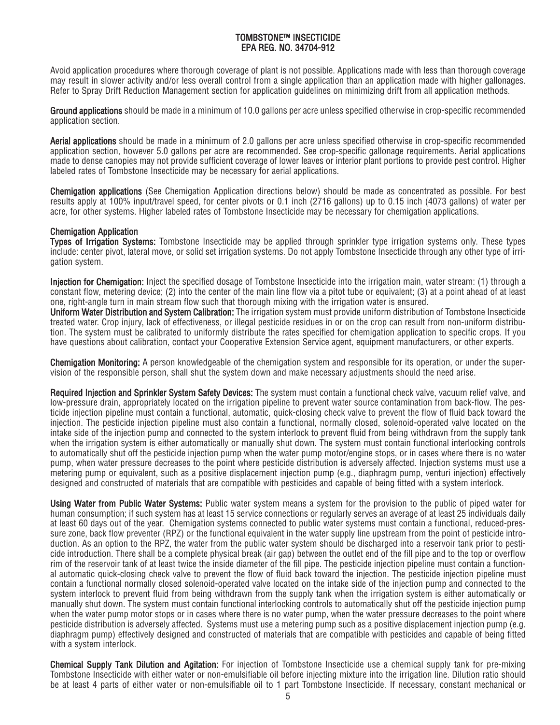Avoid application procedures where thorough coverage of plant is not possible. Applications made with less than thorough coverage may result in slower activity and/or less overall control from a single application than an application made with higher gallonages. Refer to Spray Drift Reduction Management section for application guidelines on minimizing drift from all application methods.

Ground applications should be made in a minimum of 10.0 gallons per acre unless specified otherwise in crop-specific recommended application section.

Aerial applications should be made in a minimum of 2.0 gallons per acre unless specified otherwise in crop-specific recommended application section, however 5.0 gallons per acre are recommended. See crop-specific gallonage requirements. Aerial applications made to dense canopies may not provide sufficient coverage of lower leaves or interior plant portions to provide pest control. Higher labeled rates of Tombstone Insecticide may be necessary for aerial applications.

Chemigation applications (See Chemigation Application directions below) should be made as concentrated as possible. For best results apply at 100% input/travel speed, for center pivots or 0.1 inch (2716 gallons) up to 0.15 inch (4073 gallons) of water per acre, for other systems. Higher labeled rates of Tombstone Insecticide may be necessary for chemigation applications.

# Chemigation Application

Types of Irrigation Systems: Tombstone Insecticide may be applied through sprinkler type irrigation systems only. These types include: center pivot, lateral move, or solid set irrigation systems. Do not apply Tombstone Insecticide through any other type of irrigation system.

Injection for Chemigation: Inject the specified dosage of Tombstone Insecticide into the irrigation main, water stream: (1) through a constant flow, metering device; (2) into the center of the main line flow via a pitot tube or equivalent; (3) at a point ahead of at least one, right-angle turn in main stream flow such that thorough mixing with the irrigation water is ensured.

Uniform Water Distribution and System Calibration: The irrigation system must provide uniform distribution of Tombstone Insecticide treated water. Crop injury, lack of effectiveness, or illegal pesticide residues in or on the crop can result from non-uniform distribution. The system must be calibrated to uniformly distribute the rates specified for chemigation application to specific crops. If you have questions about calibration, contact your Cooperative Extension Service agent, equipment manufacturers, or other experts.

Chemigation Monitoring: A person knowledgeable of the chemigation system and responsible for its operation, or under the supervision of the responsible person, shall shut the system down and make necessary adjustments should the need arise.

Required Injection and Sprinkler System Safety Devices: The system must contain a functional check valve, vacuum relief valve, and low-pressure drain, appropriately located on the irrigation pipeline to prevent water source contamination from back-flow. The pesticide injection pipeline must contain a functional, automatic, quick-closing check valve to prevent the flow of fluid back toward the injection. The pesticide injection pipeline must also contain a functional, normally closed, solenoid-operated valve located on the intake side of the injection pump and connected to the system interlock to prevent fluid from being withdrawn from the supply tank when the irrigation system is either automatically or manually shut down. The system must contain functional interlocking controls to automatically shut off the pesticide injection pump when the water pump motor/engine stops, or in cases where there is no water pump, when water pressure decreases to the point where pesticide distribution is adversely affected. Injection systems must use a metering pump or equivalent, such as a positive displacement injection pump (e.g., diaphragm pump, venturi injection) effectively designed and constructed of materials that are compatible with pesticides and capable of being fitted with a system interlock.

Using Water from Public Water Systems: Public water system means a system for the provision to the public of piped water for human consumption; if such system has at least 15 service connections or regularly serves an average of at least 25 individuals daily at least 60 days out of the year. Chemigation systems connected to public water systems must contain a functional, reduced-pressure zone, back flow preventer (RPZ) or the functional equivalent in the water supply line upstream from the point of pesticide introduction. As an option to the RPZ, the water from the public water system should be discharged into a reservoir tank prior to pesticide introduction. There shall be a complete physical break (air gap) between the outlet end of the fill pipe and to the top or overflow rim of the reservoir tank of at least twice the inside diameter of the fill pipe. The pesticide injection pipeline must contain a functional automatic quick-closing check valve to prevent the flow of fluid back toward the injection. The pesticide injection pipeline must contain a functional normally closed solenoid-operated valve located on the intake side of the injection pump and connected to the system interlock to prevent fluid from being withdrawn from the supply tank when the irrigation system is either automatically or manually shut down. The system must contain functional interlocking controls to automatically shut off the pesticide injection pump when the water pump motor stops or in cases where there is no water pump, when the water pressure decreases to the point where pesticide distribution is adversely affected. Systems must use a metering pump such as a positive displacement injection pump (e.g. diaphragm pump) effectively designed and constructed of materials that are compatible with pesticides and capable of being fitted with a system interlock.

Chemical Supply Tank Dilution and Agitation: For injection of Tombstone Insecticide use a chemical supply tank for pre-mixing Tombstone Insecticide with either water or non-emulsifiable oil before injecting mixture into the irrigation line. Dilution ratio should be at least 4 parts of either water or non-emulsifiable oil to 1 part Tombstone Insecticide. If necessary, constant mechanical or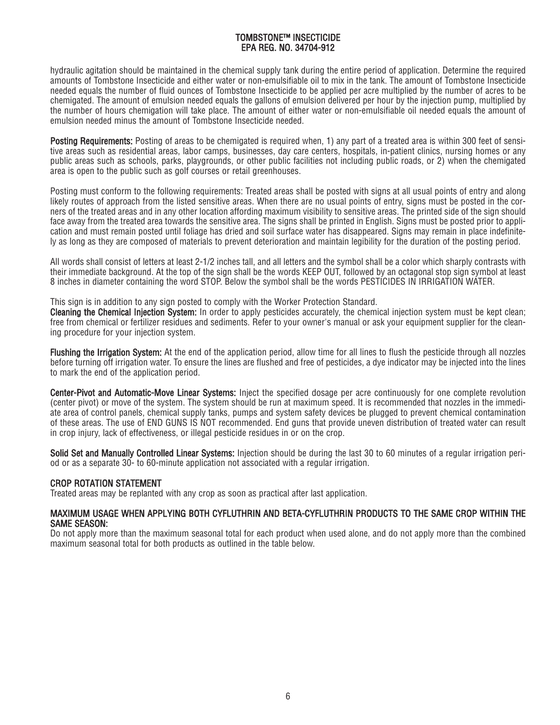hydraulic agitation should be maintained in the chemical supply tank during the entire period of application. Determine the required amounts of Tombstone Insecticide and either water or non-emulsifiable oil to mix in the tank. The amount of Tombstone Insecticide needed equals the number of fluid ounces of Tombstone Insecticide to be applied per acre multiplied by the number of acres to be chemigated. The amount of emulsion needed equals the gallons of emulsion delivered per hour by the injection pump, multiplied by the number of hours chemigation will take place. The amount of either water or non-emulsifiable oil needed equals the amount of emulsion needed minus the amount of Tombstone Insecticide needed.

Posting Requirements: Posting of areas to be chemigated is required when, 1) any part of a treated area is within 300 feet of sensitive areas such as residential areas, labor camps, businesses, day care centers, hospitals, in-patient clinics, nursing homes or any public areas such as schools, parks, playgrounds, or other public facilities not including public roads, or 2) when the chemigated area is open to the public such as golf courses or retail greenhouses.

Posting must conform to the following requirements: Treated areas shall be posted with signs at all usual points of entry and along likely routes of approach from the listed sensitive areas. When there are no usual points of entry, signs must be posted in the corners of the treated areas and in any other location affording maximum visibility to sensitive areas. The printed side of the sign should face away from the treated area towards the sensitive area. The signs shall be printed in English. Signs must be posted prior to application and must remain posted until foliage has dried and soil surface water has disappeared. Signs may remain in place indefinitely as long as they are composed of materials to prevent deterioration and maintain legibility for the duration of the posting period.

All words shall consist of letters at least 2-1/2 inches tall, and all letters and the symbol shall be a color which sharply contrasts with their immediate background. At the top of the sign shall be the words KEEP OUT, followed by an octagonal stop sign symbol at least 8 inches in diameter containing the word STOP. Below the symbol shall be the words PESTICIDES IN IRRIGATION WATER.

This sign is in addition to any sign posted to comply with the Worker Protection Standard.

Cleaning the Chemical Injection System: In order to apply pesticides accurately, the chemical injection system must be kept clean; free from chemical or fertilizer residues and sediments. Refer to your owner's manual or ask your equipment supplier for the cleaning procedure for your injection system.

Flushing the Irrigation System: At the end of the application period, allow time for all lines to flush the pesticide through all nozzles before turning off irrigation water. To ensure the lines are flushed and free of pesticides, a dye indicator may be injected into the lines to mark the end of the application period.

Center-Pivot and Automatic-Move Linear Systems: Inject the specified dosage per acre continuously for one complete revolution (center pivot) or move of the system. The system should be run at maximum speed. It is recommended that nozzles in the immediate area of control panels, chemical supply tanks, pumps and system safety devices be plugged to prevent chemical contamination of these areas. The use of END GUNS IS NOT recommended. End guns that provide uneven distribution of treated water can result in crop injury, lack of effectiveness, or illegal pesticide residues in or on the crop.

Solid Set and Manually Controlled Linear Systems: Injection should be during the last 30 to 60 minutes of a regular irrigation period or as a separate 30- to 60-minute application not associated with a regular irrigation.

# CROP ROTATION STATEMENT

Treated areas may be replanted with any crop as soon as practical after last application.

#### MAXIMUM USAGE WHEN APPLYING BOTH CYFLUTHRIN AND BETA-CYFLUTHRIN PRODUCTS TO THE SAME CROP WITHIN THE SAME SEASON:

Do not apply more than the maximum seasonal total for each product when used alone, and do not apply more than the combined maximum seasonal total for both products as outlined in the table below.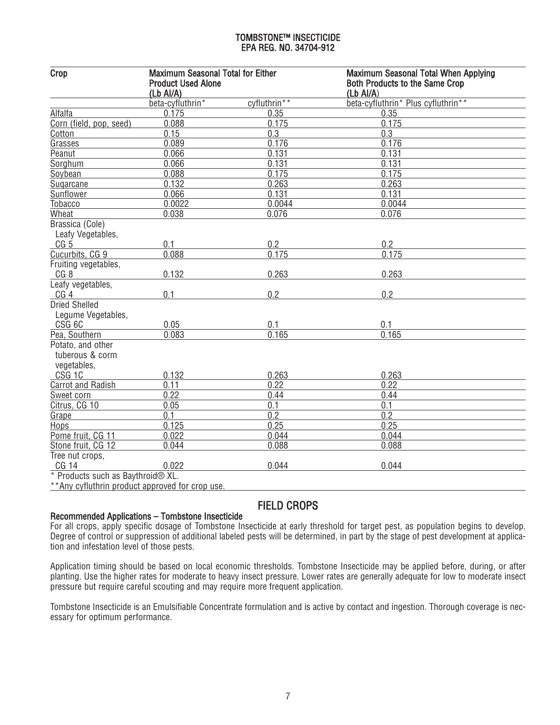| Crop                                                | <b>Maximum Seasonal Total for Either</b><br><b>Product Used Alone</b><br>(Lb Al/A) |              | Maximum Seasonal Total When Applying<br><b>Both Products to the Same Crop</b><br>$(Lb$ Al/A) |
|-----------------------------------------------------|------------------------------------------------------------------------------------|--------------|----------------------------------------------------------------------------------------------|
|                                                     | beta-cyfluthrin*                                                                   | cyfluthrin** | beta-cyfluthrin* Plus cyfluthrin**                                                           |
| Alfalfa                                             | 0.175                                                                              | 0.35         | 0.35                                                                                         |
| Corn (field, pop, seed)                             | 0.088                                                                              | 0.175        | 0.175                                                                                        |
| Cotton                                              | 0.15                                                                               | 0.3          | 0.3                                                                                          |
| Grasses                                             | 0.089                                                                              | 0.176        | 0.176                                                                                        |
| Peanut                                              | 0.066                                                                              | 0.131        | 0.131                                                                                        |
| Sorghum                                             | 0.066                                                                              | 0.131        | 0.131                                                                                        |
| Soybean                                             | 0.088                                                                              | 0.175        | 0.175                                                                                        |
| Sugarcane                                           | 0.132                                                                              | 0.263        | 0.263                                                                                        |
| Sunflower                                           | 0.066                                                                              | 0.131        | 0.131                                                                                        |
| Tobacco                                             | 0.0022                                                                             | 0.0044       | 0.0044                                                                                       |
| Wheat                                               | 0.038                                                                              | 0.076        | 0.076                                                                                        |
| Brassica (Cole)<br>Leafy Vegetables,                |                                                                                    |              |                                                                                              |
| CG <sub>5</sub>                                     | 0.1                                                                                | 0.2          | 0.2                                                                                          |
| Cucurbits, CG 9                                     | 0.088                                                                              | 0.175        | 0.175                                                                                        |
| Fruiting vegetables,                                |                                                                                    |              |                                                                                              |
| CG <sub>8</sub>                                     | 0.132                                                                              | 0.263        | 0.263                                                                                        |
| Leafy vegetables,                                   |                                                                                    |              |                                                                                              |
| CG <sub>4</sub>                                     | 0.1                                                                                | 0.2          | 0.2                                                                                          |
| <b>Dried Shelled</b><br>Legume Vegetables,          |                                                                                    |              |                                                                                              |
| CSG <sub>6C</sub>                                   | 0.05                                                                               | 0.1          | 0.1                                                                                          |
| Pea, Southern                                       | 0.083                                                                              | 0.165        | 0.165                                                                                        |
| Potato, and other<br>tuberous & corm<br>vegetables, |                                                                                    |              |                                                                                              |
| CSG <sub>1C</sub>                                   | 0.132                                                                              | 0.263        | 0.263                                                                                        |
| <b>Carrot and Radish</b>                            | 0.11                                                                               | 0.22         | 0.22                                                                                         |
| Sweet corn                                          | 0.22                                                                               | 0.44         | 0.44                                                                                         |
| Citrus, CG 10                                       | 0.05                                                                               | 0.1          | 0.1                                                                                          |
| Grape                                               | 0.1                                                                                | 0.2          | 0.2                                                                                          |
| Hops                                                | 0.125                                                                              | 0.25         | 0.25                                                                                         |
| Pome fruit, CG 11                                   | 0.022                                                                              | 0.044        | 0.044                                                                                        |
| Stone fruit, CG 12                                  | 0.044                                                                              | 0.088        | 0.088                                                                                        |
| Tree nut crops,                                     |                                                                                    |              |                                                                                              |
| CG 14                                               | 0.022                                                                              | 0.044        | 0.044                                                                                        |
| * Products such as Baythroid® XL.                   |                                                                                    |              |                                                                                              |
| **Any outluthrin product approved for eron use      |                                                                                    |              |                                                                                              |

<u>cynuumin prouuct approveu ioi</u>

# FIELD CROPS

# Recommended Applications – Tombstone Insecticide

For all crops, apply specific dosage of Tombstone Insecticide at early threshold for target pest, as population begins to develop. Degree of control or suppression of additional labeled pests will be determined, in part by the stage of pest development at application and infestation level of those pests.

Application timing should be based on local economic thresholds. Tombstone Insecticide may be applied before, during, or after planting. Use the higher rates for moderate to heavy insect pressure. Lower rates are generally adequate for low to moderate insect pressure but require careful scouting and may require more frequent application.

Tombstone Insecticide is an Emulsifiable Concentrate formulation and is active by contact and ingestion. Thorough coverage is necessary for optimum performance.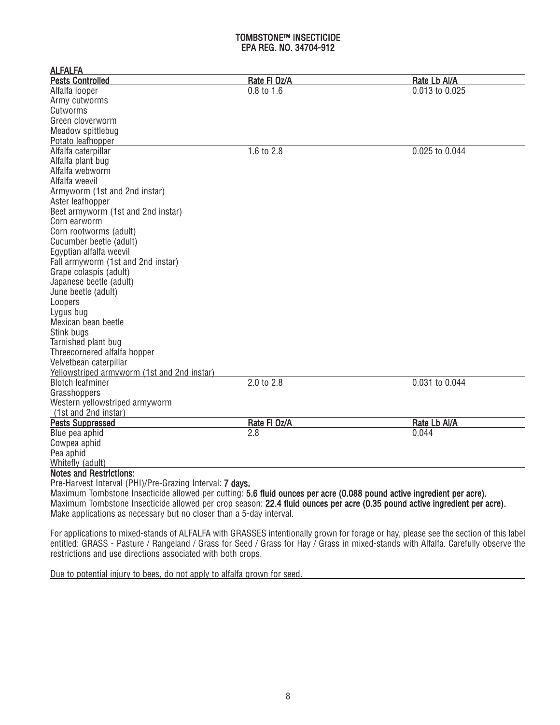| <b>Pests Controlled</b><br>Rate FI Oz/A<br>Rate Lb Al/A<br>0.013 to 0.025<br>Alfalfa looper<br>0.8 to 1.6<br>Army cutworms<br>Cutworms<br>Green cloverworm<br>Meadow spittlebug<br>Potato leafhopper<br>Alfalfa caterpillar<br>1.6 to 2.8<br>0.025 to 0.044<br>Alfalfa plant bug<br>Alfalfa webworm<br>Alfalfa weevil<br>Armyworm (1st and 2nd instar)<br>Aster leafhopper<br>Beet armyworm (1st and 2nd instar)<br>Corn earworm<br>Corn rootworms (adult)<br>Cucumber beetle (adult)<br>Egyptian alfalfa weevil<br>Fall armyworm (1st and 2nd instar)<br>Grape colaspis (adult)<br>Japanese beetle (adult)<br>June beetle (adult)<br>Loopers<br>Lygus bug<br>Mexican bean beetle<br>Stink bugs<br>Tarnished plant bug<br>Threecornered alfalfa hopper<br>Velvetbean caterpillar<br>Yellowstriped armyworm (1st and 2nd instar)<br><b>Blotch leafminer</b><br>2.0 to 2.8<br>0.031 to 0.044<br>Grasshoppers<br>Western yellowstriped armyworm<br>(1st and 2nd instar)<br><b>Pests Suppressed</b><br>Rate FI Oz/A<br>Rate Lb Al/A<br>0.044<br>Blue pea aphid<br>2.8<br>Cowpea aphid<br>Pea aphid<br>Whitefly (adult)<br><b>Notes and Restrictions:</b><br>Pre-Harvest Interval (PHI)/Pre-Grazing Interval: 7 days.<br>Maximum Tombstone Insecticide allowed per cutting: 5.6 fluid ounces per acre (0.088 pound active ingredient per acre).<br>Maximum Tombstone Insecticide allowed per crop season: 22.4 fluid ounces per acre (0.35 pound active ingredient per acre). | <b>ALFALFA</b>                                                      |  |
|--------------------------------------------------------------------------------------------------------------------------------------------------------------------------------------------------------------------------------------------------------------------------------------------------------------------------------------------------------------------------------------------------------------------------------------------------------------------------------------------------------------------------------------------------------------------------------------------------------------------------------------------------------------------------------------------------------------------------------------------------------------------------------------------------------------------------------------------------------------------------------------------------------------------------------------------------------------------------------------------------------------------------------------------------------------------------------------------------------------------------------------------------------------------------------------------------------------------------------------------------------------------------------------------------------------------------------------------------------------------------------------------------------------------------------------------------------------------------|---------------------------------------------------------------------|--|
|                                                                                                                                                                                                                                                                                                                                                                                                                                                                                                                                                                                                                                                                                                                                                                                                                                                                                                                                                                                                                                                                                                                                                                                                                                                                                                                                                                                                                                                                          |                                                                     |  |
|                                                                                                                                                                                                                                                                                                                                                                                                                                                                                                                                                                                                                                                                                                                                                                                                                                                                                                                                                                                                                                                                                                                                                                                                                                                                                                                                                                                                                                                                          |                                                                     |  |
|                                                                                                                                                                                                                                                                                                                                                                                                                                                                                                                                                                                                                                                                                                                                                                                                                                                                                                                                                                                                                                                                                                                                                                                                                                                                                                                                                                                                                                                                          |                                                                     |  |
|                                                                                                                                                                                                                                                                                                                                                                                                                                                                                                                                                                                                                                                                                                                                                                                                                                                                                                                                                                                                                                                                                                                                                                                                                                                                                                                                                                                                                                                                          |                                                                     |  |
|                                                                                                                                                                                                                                                                                                                                                                                                                                                                                                                                                                                                                                                                                                                                                                                                                                                                                                                                                                                                                                                                                                                                                                                                                                                                                                                                                                                                                                                                          |                                                                     |  |
|                                                                                                                                                                                                                                                                                                                                                                                                                                                                                                                                                                                                                                                                                                                                                                                                                                                                                                                                                                                                                                                                                                                                                                                                                                                                                                                                                                                                                                                                          |                                                                     |  |
|                                                                                                                                                                                                                                                                                                                                                                                                                                                                                                                                                                                                                                                                                                                                                                                                                                                                                                                                                                                                                                                                                                                                                                                                                                                                                                                                                                                                                                                                          |                                                                     |  |
|                                                                                                                                                                                                                                                                                                                                                                                                                                                                                                                                                                                                                                                                                                                                                                                                                                                                                                                                                                                                                                                                                                                                                                                                                                                                                                                                                                                                                                                                          |                                                                     |  |
|                                                                                                                                                                                                                                                                                                                                                                                                                                                                                                                                                                                                                                                                                                                                                                                                                                                                                                                                                                                                                                                                                                                                                                                                                                                                                                                                                                                                                                                                          |                                                                     |  |
|                                                                                                                                                                                                                                                                                                                                                                                                                                                                                                                                                                                                                                                                                                                                                                                                                                                                                                                                                                                                                                                                                                                                                                                                                                                                                                                                                                                                                                                                          |                                                                     |  |
|                                                                                                                                                                                                                                                                                                                                                                                                                                                                                                                                                                                                                                                                                                                                                                                                                                                                                                                                                                                                                                                                                                                                                                                                                                                                                                                                                                                                                                                                          |                                                                     |  |
|                                                                                                                                                                                                                                                                                                                                                                                                                                                                                                                                                                                                                                                                                                                                                                                                                                                                                                                                                                                                                                                                                                                                                                                                                                                                                                                                                                                                                                                                          |                                                                     |  |
|                                                                                                                                                                                                                                                                                                                                                                                                                                                                                                                                                                                                                                                                                                                                                                                                                                                                                                                                                                                                                                                                                                                                                                                                                                                                                                                                                                                                                                                                          |                                                                     |  |
|                                                                                                                                                                                                                                                                                                                                                                                                                                                                                                                                                                                                                                                                                                                                                                                                                                                                                                                                                                                                                                                                                                                                                                                                                                                                                                                                                                                                                                                                          |                                                                     |  |
|                                                                                                                                                                                                                                                                                                                                                                                                                                                                                                                                                                                                                                                                                                                                                                                                                                                                                                                                                                                                                                                                                                                                                                                                                                                                                                                                                                                                                                                                          |                                                                     |  |
|                                                                                                                                                                                                                                                                                                                                                                                                                                                                                                                                                                                                                                                                                                                                                                                                                                                                                                                                                                                                                                                                                                                                                                                                                                                                                                                                                                                                                                                                          |                                                                     |  |
|                                                                                                                                                                                                                                                                                                                                                                                                                                                                                                                                                                                                                                                                                                                                                                                                                                                                                                                                                                                                                                                                                                                                                                                                                                                                                                                                                                                                                                                                          |                                                                     |  |
|                                                                                                                                                                                                                                                                                                                                                                                                                                                                                                                                                                                                                                                                                                                                                                                                                                                                                                                                                                                                                                                                                                                                                                                                                                                                                                                                                                                                                                                                          |                                                                     |  |
|                                                                                                                                                                                                                                                                                                                                                                                                                                                                                                                                                                                                                                                                                                                                                                                                                                                                                                                                                                                                                                                                                                                                                                                                                                                                                                                                                                                                                                                                          |                                                                     |  |
|                                                                                                                                                                                                                                                                                                                                                                                                                                                                                                                                                                                                                                                                                                                                                                                                                                                                                                                                                                                                                                                                                                                                                                                                                                                                                                                                                                                                                                                                          |                                                                     |  |
|                                                                                                                                                                                                                                                                                                                                                                                                                                                                                                                                                                                                                                                                                                                                                                                                                                                                                                                                                                                                                                                                                                                                                                                                                                                                                                                                                                                                                                                                          |                                                                     |  |
|                                                                                                                                                                                                                                                                                                                                                                                                                                                                                                                                                                                                                                                                                                                                                                                                                                                                                                                                                                                                                                                                                                                                                                                                                                                                                                                                                                                                                                                                          |                                                                     |  |
|                                                                                                                                                                                                                                                                                                                                                                                                                                                                                                                                                                                                                                                                                                                                                                                                                                                                                                                                                                                                                                                                                                                                                                                                                                                                                                                                                                                                                                                                          |                                                                     |  |
|                                                                                                                                                                                                                                                                                                                                                                                                                                                                                                                                                                                                                                                                                                                                                                                                                                                                                                                                                                                                                                                                                                                                                                                                                                                                                                                                                                                                                                                                          |                                                                     |  |
|                                                                                                                                                                                                                                                                                                                                                                                                                                                                                                                                                                                                                                                                                                                                                                                                                                                                                                                                                                                                                                                                                                                                                                                                                                                                                                                                                                                                                                                                          |                                                                     |  |
|                                                                                                                                                                                                                                                                                                                                                                                                                                                                                                                                                                                                                                                                                                                                                                                                                                                                                                                                                                                                                                                                                                                                                                                                                                                                                                                                                                                                                                                                          |                                                                     |  |
|                                                                                                                                                                                                                                                                                                                                                                                                                                                                                                                                                                                                                                                                                                                                                                                                                                                                                                                                                                                                                                                                                                                                                                                                                                                                                                                                                                                                                                                                          |                                                                     |  |
|                                                                                                                                                                                                                                                                                                                                                                                                                                                                                                                                                                                                                                                                                                                                                                                                                                                                                                                                                                                                                                                                                                                                                                                                                                                                                                                                                                                                                                                                          |                                                                     |  |
|                                                                                                                                                                                                                                                                                                                                                                                                                                                                                                                                                                                                                                                                                                                                                                                                                                                                                                                                                                                                                                                                                                                                                                                                                                                                                                                                                                                                                                                                          |                                                                     |  |
|                                                                                                                                                                                                                                                                                                                                                                                                                                                                                                                                                                                                                                                                                                                                                                                                                                                                                                                                                                                                                                                                                                                                                                                                                                                                                                                                                                                                                                                                          |                                                                     |  |
|                                                                                                                                                                                                                                                                                                                                                                                                                                                                                                                                                                                                                                                                                                                                                                                                                                                                                                                                                                                                                                                                                                                                                                                                                                                                                                                                                                                                                                                                          |                                                                     |  |
|                                                                                                                                                                                                                                                                                                                                                                                                                                                                                                                                                                                                                                                                                                                                                                                                                                                                                                                                                                                                                                                                                                                                                                                                                                                                                                                                                                                                                                                                          |                                                                     |  |
|                                                                                                                                                                                                                                                                                                                                                                                                                                                                                                                                                                                                                                                                                                                                                                                                                                                                                                                                                                                                                                                                                                                                                                                                                                                                                                                                                                                                                                                                          |                                                                     |  |
|                                                                                                                                                                                                                                                                                                                                                                                                                                                                                                                                                                                                                                                                                                                                                                                                                                                                                                                                                                                                                                                                                                                                                                                                                                                                                                                                                                                                                                                                          |                                                                     |  |
|                                                                                                                                                                                                                                                                                                                                                                                                                                                                                                                                                                                                                                                                                                                                                                                                                                                                                                                                                                                                                                                                                                                                                                                                                                                                                                                                                                                                                                                                          |                                                                     |  |
|                                                                                                                                                                                                                                                                                                                                                                                                                                                                                                                                                                                                                                                                                                                                                                                                                                                                                                                                                                                                                                                                                                                                                                                                                                                                                                                                                                                                                                                                          |                                                                     |  |
|                                                                                                                                                                                                                                                                                                                                                                                                                                                                                                                                                                                                                                                                                                                                                                                                                                                                                                                                                                                                                                                                                                                                                                                                                                                                                                                                                                                                                                                                          |                                                                     |  |
|                                                                                                                                                                                                                                                                                                                                                                                                                                                                                                                                                                                                                                                                                                                                                                                                                                                                                                                                                                                                                                                                                                                                                                                                                                                                                                                                                                                                                                                                          |                                                                     |  |
|                                                                                                                                                                                                                                                                                                                                                                                                                                                                                                                                                                                                                                                                                                                                                                                                                                                                                                                                                                                                                                                                                                                                                                                                                                                                                                                                                                                                                                                                          |                                                                     |  |
|                                                                                                                                                                                                                                                                                                                                                                                                                                                                                                                                                                                                                                                                                                                                                                                                                                                                                                                                                                                                                                                                                                                                                                                                                                                                                                                                                                                                                                                                          |                                                                     |  |
|                                                                                                                                                                                                                                                                                                                                                                                                                                                                                                                                                                                                                                                                                                                                                                                                                                                                                                                                                                                                                                                                                                                                                                                                                                                                                                                                                                                                                                                                          |                                                                     |  |
|                                                                                                                                                                                                                                                                                                                                                                                                                                                                                                                                                                                                                                                                                                                                                                                                                                                                                                                                                                                                                                                                                                                                                                                                                                                                                                                                                                                                                                                                          |                                                                     |  |
|                                                                                                                                                                                                                                                                                                                                                                                                                                                                                                                                                                                                                                                                                                                                                                                                                                                                                                                                                                                                                                                                                                                                                                                                                                                                                                                                                                                                                                                                          |                                                                     |  |
|                                                                                                                                                                                                                                                                                                                                                                                                                                                                                                                                                                                                                                                                                                                                                                                                                                                                                                                                                                                                                                                                                                                                                                                                                                                                                                                                                                                                                                                                          | Make applications as necessary but no closer than a 5-day interval. |  |

For applications to mixed-stands of ALFALFA with GRASSES intentionally grown for forage or hay, please see the section of this label entitled: GRASS - Pasture / Rangeland / Grass for Seed / Grass for Hay / Grass in mixed-stands with Alfalfa. Carefully observe the restrictions and use directions associated with both crops.

Due to potential injury to bees, do not apply to alfalfa grown for seed.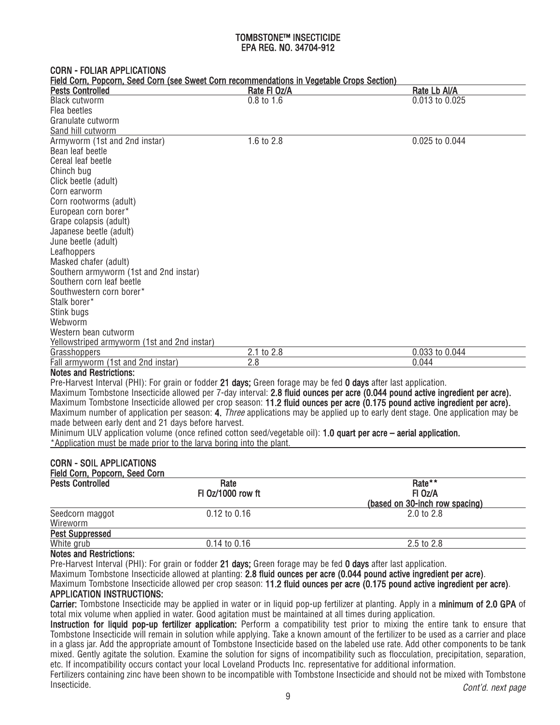#### CORN - FOLIAR APPLICATIONS

Field Corn, Popcorn, Seed Corn (see Sweet Corn recommendations in Vegetable Crops Section)

| <b>Pests Controlled</b>                                             | <u>Field Corri, Fodcorri, Seed Corri (see Sweet Corri recommendations in vegetable Crops Section)</u><br>Rate FI Oz/A | Rate Lb Al/A                                                                                                                  |
|---------------------------------------------------------------------|-----------------------------------------------------------------------------------------------------------------------|-------------------------------------------------------------------------------------------------------------------------------|
| <b>Black cutworm</b>                                                | $0.8$ to $1.6$                                                                                                        | 0.013 to 0.025                                                                                                                |
| Flea beetles                                                        |                                                                                                                       |                                                                                                                               |
| Granulate cutworm                                                   |                                                                                                                       |                                                                                                                               |
| Sand hill cutworm                                                   |                                                                                                                       |                                                                                                                               |
| Armyworm (1st and 2nd instar)                                       | 1.6 to 2.8                                                                                                            | 0.025 to 0.044                                                                                                                |
| Bean leaf beetle                                                    |                                                                                                                       |                                                                                                                               |
| Cereal leaf beetle                                                  |                                                                                                                       |                                                                                                                               |
| Chinch bug                                                          |                                                                                                                       |                                                                                                                               |
| Click beetle (adult)                                                |                                                                                                                       |                                                                                                                               |
| Corn earworm                                                        |                                                                                                                       |                                                                                                                               |
| Corn rootworms (adult)                                              |                                                                                                                       |                                                                                                                               |
| European corn borer*                                                |                                                                                                                       |                                                                                                                               |
| Grape colapsis (adult)                                              |                                                                                                                       |                                                                                                                               |
| Japanese beetle (adult)                                             |                                                                                                                       |                                                                                                                               |
| June beetle (adult)                                                 |                                                                                                                       |                                                                                                                               |
| Leafhoppers                                                         |                                                                                                                       |                                                                                                                               |
| Masked chafer (adult)                                               |                                                                                                                       |                                                                                                                               |
| Southern armyworm (1st and 2nd instar)                              |                                                                                                                       |                                                                                                                               |
| Southern corn leaf beetle                                           |                                                                                                                       |                                                                                                                               |
| Southwestern corn borer*                                            |                                                                                                                       |                                                                                                                               |
| Stalk borer*                                                        |                                                                                                                       |                                                                                                                               |
| Stink bugs                                                          |                                                                                                                       |                                                                                                                               |
| Webworm                                                             |                                                                                                                       |                                                                                                                               |
| Western bean cutworm                                                |                                                                                                                       |                                                                                                                               |
| Yellowstriped armyworm (1st and 2nd instar)                         |                                                                                                                       |                                                                                                                               |
| Grasshoppers                                                        | 2.1 to 2.8                                                                                                            | 0.033 to 0.044                                                                                                                |
| Fall armyworm (1st and 2nd instar)                                  | 2.8                                                                                                                   | 0.044                                                                                                                         |
| <b>Notes and Restrictions:</b>                                      |                                                                                                                       |                                                                                                                               |
|                                                                     | Pre-Harvest Interval (PHI): For grain or fodder 21 days; Green forage may be fed 0 days after last application.       |                                                                                                                               |
|                                                                     |                                                                                                                       | Maximum Tombstone Insecticide allowed per 7-day interval: 2.8 fluid ounces per acre (0.044 pound active ingredient per acre). |
|                                                                     |                                                                                                                       | Maximum Tombstone Insecticide allowed per crop season: 11.2 fluid ounces per acre (0.175 pound active ingredient per acre).   |
|                                                                     |                                                                                                                       | Maximum number of application per season: 4. Three applications may be applied up to early dent stage. One application may be |
| made between early dent and 21 days before harvest.                 |                                                                                                                       |                                                                                                                               |
|                                                                     | Minimum ULV application volume (once refined cotton seed/vegetable oil): 1.0 quart per acre – aerial application.     |                                                                                                                               |
| *Application must be made prior to the larva boring into the plant. |                                                                                                                       |                                                                                                                               |
|                                                                     |                                                                                                                       |                                                                                                                               |
| <b>CORN - SOIL APPLICATIONS</b>                                     |                                                                                                                       |                                                                                                                               |
| Field Corn, Popcorn, Seed Corn                                      |                                                                                                                       |                                                                                                                               |
| <b>Pests Controlled</b>                                             | Rate                                                                                                                  | Rate**                                                                                                                        |
|                                                                     | FI 0z/1000 row ft                                                                                                     | FI Oz/A                                                                                                                       |
|                                                                     |                                                                                                                       | (based on 30-inch row spacing)                                                                                                |
| Seedcorn maggot                                                     | 0.12 to 0.16                                                                                                          | 2.0 to 2.8                                                                                                                    |
| Wireworm                                                            |                                                                                                                       |                                                                                                                               |
| <b>Pest Suppressed</b>                                              |                                                                                                                       |                                                                                                                               |

#### White grub  $2.5$  to 2.8 Notes and Restrictions:

Pre-Harvest Interval (PHI): For grain or fodder 21 days; Green forage may be fed 0 days after last application.

Maximum Tombstone Insecticide allowed at planting: 2.8 fluid ounces per acre (0.044 pound active ingredient per acre).

Maximum Tombstone Insecticide allowed per crop season: 11.2 fluid ounces per acre (0.175 pound active ingredient per acre).

# APPLICATION INSTRUCTIONS:

Carrier: Tombstone Insecticide may be applied in water or in liquid pop-up fertilizer at planting. Apply in a minimum of 2.0 GPA of total mix volume when applied in water. Good agitation must be maintained at all times during application.

Instruction for liquid pop-up fertilizer application: Perform a compatibility test prior to mixing the entire tank to ensure that Tombstone Insecticide will remain in solution while applying. Take a known amount of the fertilizer to be used as a carrier and place in a glass jar. Add the appropriate amount of Tombstone Insecticide based on the labeled use rate. Add other components to be tank mixed. Gently agitate the solution. Examine the solution for signs of incompatibility such as flocculation, precipitation, separation, etc. If incompatibility occurs contact your local Loveland Products Inc. representative for additional information.

Fertilizers containing zinc have been shown to be incompatible with Tombstone Insecticide and should not be mixed with Tombstone Insecticide. Cont'd. next page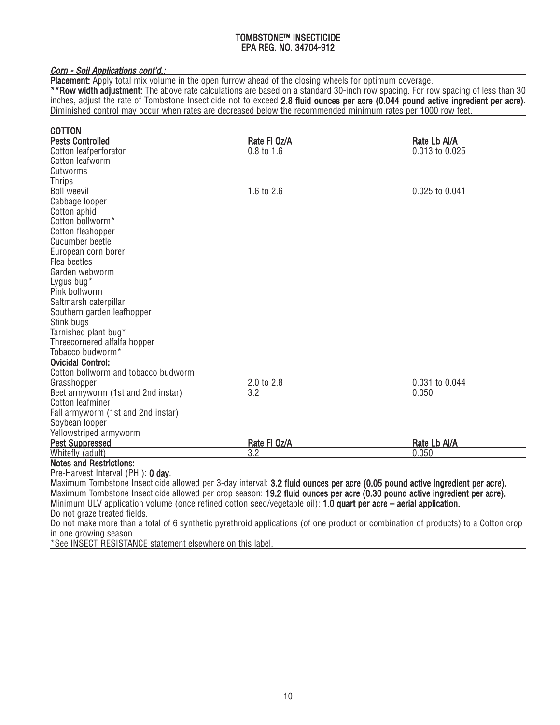# Corn - Soil Applications cont'd.:

Placement: Apply total mix volume in the open furrow ahead of the closing wheels for optimum coverage.

\*\*Row width adjustment: The above rate calculations are based on a standard 30-inch row spacing. For row spacing of less than 30 inches, adjust the rate of Tombstone Insecticide not to exceed 2.8 fluid ounces per acre (0.044 pound active ingredient per acre). Diminished control may occur when rates are decreased below the recommended minimum rates per 1000 row feet.

| <b>COTTON</b>                                                                                                                |              |                |
|------------------------------------------------------------------------------------------------------------------------------|--------------|----------------|
| <b>Pests Controlled</b>                                                                                                      | Rate FI Oz/A | Rate Lb Al/A   |
| Cotton leafperforator                                                                                                        | $0.8$ to 1.6 | 0.013 to 0.025 |
| Cotton leafworm                                                                                                              |              |                |
| Cutworms                                                                                                                     |              |                |
| <b>Thrips</b>                                                                                                                |              |                |
| <b>Boll weevil</b>                                                                                                           | 1.6 to 2.6   | 0.025 to 0.041 |
| Cabbage looper                                                                                                               |              |                |
| Cotton aphid                                                                                                                 |              |                |
| Cotton bollworm*                                                                                                             |              |                |
| Cotton fleahopper                                                                                                            |              |                |
| Cucumber beetle                                                                                                              |              |                |
| European corn borer                                                                                                          |              |                |
| Flea beetles                                                                                                                 |              |                |
| Garden webworm                                                                                                               |              |                |
| Lygus bug*                                                                                                                   |              |                |
| Pink bollworm                                                                                                                |              |                |
| Saltmarsh caterpillar                                                                                                        |              |                |
| Southern garden leafhopper                                                                                                   |              |                |
| Stink bugs                                                                                                                   |              |                |
| Tarnished plant bug*                                                                                                         |              |                |
| Threecornered alfalfa hopper                                                                                                 |              |                |
| Tobacco budworm <sup>*</sup>                                                                                                 |              |                |
| <b>Ovicidal Control:</b>                                                                                                     |              |                |
| Cotton bollworm and tobacco budworm                                                                                          |              |                |
| Grasshopper                                                                                                                  | 2.0 to 2.8   | 0.031 to 0.044 |
| Beet armyworm (1st and 2nd instar)                                                                                           | 3.2          | 0.050          |
| Cotton leafminer                                                                                                             |              |                |
| Fall armyworm (1st and 2nd instar)                                                                                           |              |                |
| Soybean looper                                                                                                               |              |                |
| Yellowstriped armyworm                                                                                                       |              |                |
| <b>Pest Suppressed</b>                                                                                                       | Rate FI Oz/A | Rate Lb Al/A   |
| Whitefly (adult)                                                                                                             | 3.2          | 0.050          |
| <b>Notes and Restrictions:</b>                                                                                               |              |                |
| Pre-Harvest Interval (PHI): 0 day.                                                                                           |              |                |
| Maximum Tombstone Insecticide allowed per 3-day interval: 3.2 fluid ounces per acre (0.05 pound active ingredient per acre). |              |                |
| Maximum Tombstone Insecticide allowed per crop season: 19.2 fluid ounces per acre (0.30 pound active ingredient per acre).   |              |                |

Minimum ULV application volume (once refined cotton seed/vegetable oil): 1.0 quart per acre – aerial application.

Do not graze treated fields.

Do not make more than a total of 6 synthetic pyrethroid applications (of one product or combination of products) to a Cotton crop in one growing season.

\*See INSECT RESISTANCE statement elsewhere on this label.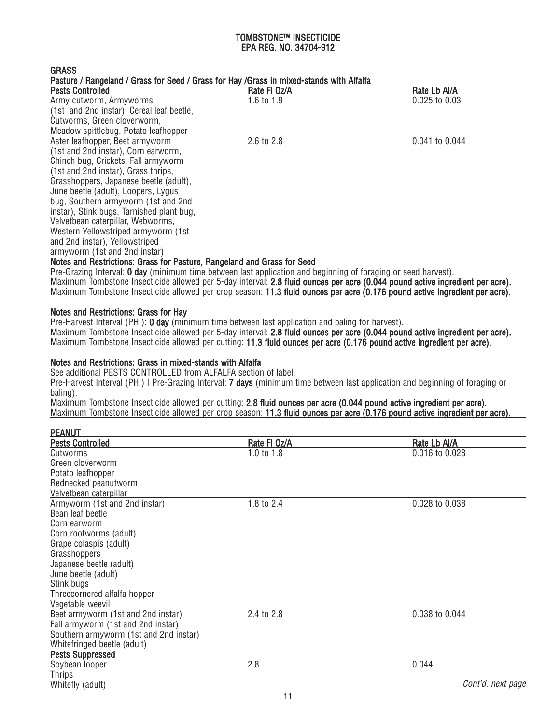**GRASS** 

Pasture / Rangeland / Grass for Seed / Grass for Hay /Grass in mixed-stands with Alfalfa

| <b>Pests Controlled</b>                   | Rate FI Oz/A | Rate Lb Al/A      |
|-------------------------------------------|--------------|-------------------|
| Army cutworm, Armyworms                   | 1.6 to $1.9$ | $0.025$ to $0.03$ |
| (1st and 2nd instar), Cereal leaf beetle, |              |                   |
| Cutworms, Green cloverworm,               |              |                   |
| Meadow spittlebug, Potato leafhopper      |              |                   |
| Aster leafhopper, Beet armyworm           | 2.6 to 2.8   | 0.041 to 0.044    |
| (1st and 2nd instar), Corn earworm,       |              |                   |
| Chinch bug, Crickets, Fall armyworm       |              |                   |
| (1st and 2nd instar), Grass thrips,       |              |                   |
| Grasshoppers, Japanese beetle (adult),    |              |                   |
| June beetle (adult), Loopers, Lygus       |              |                   |
| bug, Southern armyworm (1st and 2nd       |              |                   |
| instar), Stink bugs, Tarnished plant bug, |              |                   |
| Velvetbean caterpillar, Webworms,         |              |                   |
| Western Yellowstriped armyworm (1st       |              |                   |
| and 2nd instar), Yellowstriped            |              |                   |
| armyworm (1st and 2nd instar)             |              |                   |

# Notes and Restrictions: Grass for Pasture, Rangeland and Grass for Seed

Pre-Grazing Interval: 0 day (minimum time between last application and beginning of foraging or seed harvest). Maximum Tombstone Insecticide allowed per 5-day interval: 2.8 fluid ounces per acre (0.044 pound active ingredient per acre). Maximum Tombstone Insecticide allowed per crop season: 11.3 fluid ounces per acre (0.176 pound active ingredient per acre).

# Notes and Restrictions: Grass for Hay

Pre-Harvest Interval (PHI): 0 day (minimum time between last application and baling for harvest). Maximum Tombstone Insecticide allowed per 5-day interval: 2.8 fluid ounces per acre (0.044 pound active ingredient per acre). Maximum Tombstone Insecticide allowed per cutting: 11.3 fluid ounces per acre (0.176 pound active ingredient per acre).

# Notes and Restrictions: Grass in mixed-stands with Alfalfa

See additional PESTS CONTROLLED from ALFALFA section of label.

Pre-Harvest Interval (PHI) I Pre-Grazing Interval: 7 days (minimum time between last application and beginning of foraging or baling).

Maximum Tombstone Insecticide allowed per cutting: 2.8 fluid ounces per acre (0.044 pound active ingredient per acre). Maximum Tombstone Insecticide allowed per crop season: 11.3 fluid ounces per acre (0.176 pound active ingredient per acre).

| <b>PEANUT</b>                          |              |                   |
|----------------------------------------|--------------|-------------------|
| <b>Pests Controlled</b>                | Rate FI Oz/A | Rate Lb Al/A      |
| Cutworms                               | 1.0 to $1.8$ | 0.016 to 0.028    |
| Green cloverworm                       |              |                   |
| Potato leafhopper                      |              |                   |
| Rednecked peanutworm                   |              |                   |
| Velvetbean caterpillar                 |              |                   |
| Armyworm (1st and 2nd instar)          | 1.8 to 2.4   | 0.028 to 0.038    |
| Bean leaf beetle                       |              |                   |
| Corn earworm                           |              |                   |
| Corn rootworms (adult)                 |              |                   |
| Grape colaspis (adult)                 |              |                   |
| Grasshoppers                           |              |                   |
| Japanese beetle (adult)                |              |                   |
| June beetle (adult)                    |              |                   |
| Stink bugs                             |              |                   |
| Threecornered alfalfa hopper           |              |                   |
| Vegetable weevil                       |              |                   |
| Beet armyworm (1st and 2nd instar)     | 2.4 to 2.8   | 0.038 to 0.044    |
| Fall armyworm (1st and 2nd instar)     |              |                   |
| Southern armyworm (1st and 2nd instar) |              |                   |
| Whitefringed beetle (adult)            |              |                   |
| <b>Pests Suppressed</b>                |              |                   |
| Soybean looper                         | 2.8          | 0.044             |
| <b>Thrips</b>                          |              |                   |
| Whitefly (adult)                       |              | Cont'd. next page |
|                                        | -4           |                   |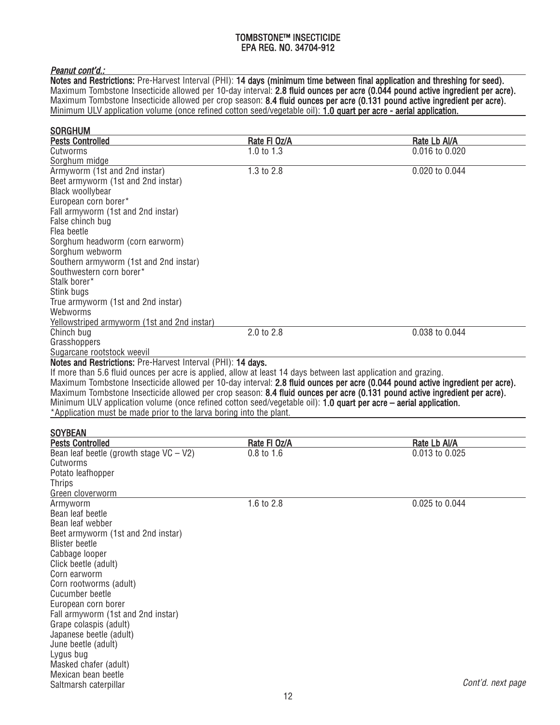# Peanut cont'd.:

Notes and Restrictions: Pre-Harvest Interval (PHI): 14 days (minimum time between final application and threshing for seed). Maximum Tombstone Insecticide allowed per 10-day interval: 2.8 fl**uid ounces per acre (0.044 pound active ingredient per acre).** Maximum Tombstone Insecticide allowed per crop season: 8.4 fluid ounces per acre (0.131 pound active ingredient per acre). Minimum ULV application volume (once refined cotton seed/vegetable oil): 1.0 quart per acre - aerial application.

| <b>Pests Controlled</b>                                                                                                    | Rate FI Oz/A | Rate Lb Al/A                                                                                                                   |
|----------------------------------------------------------------------------------------------------------------------------|--------------|--------------------------------------------------------------------------------------------------------------------------------|
| Cutworms                                                                                                                   | 1.0 to $1.3$ | 0.016 to 0.020                                                                                                                 |
| Sorghum midge                                                                                                              |              |                                                                                                                                |
| Armyworm (1st and 2nd instar)                                                                                              | 1.3 to 2.8   | 0.020 to 0.044                                                                                                                 |
| Beet armyworm (1st and 2nd instar)                                                                                         |              |                                                                                                                                |
| Black woollybear                                                                                                           |              |                                                                                                                                |
| European corn borer*                                                                                                       |              |                                                                                                                                |
| Fall armyworm (1st and 2nd instar)                                                                                         |              |                                                                                                                                |
| False chinch bug                                                                                                           |              |                                                                                                                                |
| Flea beetle                                                                                                                |              |                                                                                                                                |
| Sorghum headworm (corn earworm)                                                                                            |              |                                                                                                                                |
| Sorghum webworm                                                                                                            |              |                                                                                                                                |
| Southern armyworm (1st and 2nd instar)                                                                                     |              |                                                                                                                                |
| Southwestern corn borer*                                                                                                   |              |                                                                                                                                |
| Stalk borer*                                                                                                               |              |                                                                                                                                |
| Stink bugs                                                                                                                 |              |                                                                                                                                |
| True armyworm (1st and 2nd instar)                                                                                         |              |                                                                                                                                |
| Webworms                                                                                                                   |              |                                                                                                                                |
| Yellowstriped armyworm (1st and 2nd instar)                                                                                |              |                                                                                                                                |
| Chinch bug                                                                                                                 | 2.0 to 2.8   | 0.038 to 0.044                                                                                                                 |
| Grasshoppers                                                                                                               |              |                                                                                                                                |
| Sugarcane rootstock weevil                                                                                                 |              |                                                                                                                                |
| Notes and Restrictions: Pre-Harvest Interval (PHI): 14 days.                                                               |              |                                                                                                                                |
| If more than 5.6 fluid ounces per acre is applied, allow at least 14 days between last application and grazing.            |              |                                                                                                                                |
|                                                                                                                            |              | Maximum Tombstone Insecticide allowed per 10-day interval: 2.8 fluid ounces per acre (0.044 pound active ingredient per acre). |
|                                                                                                                            |              |                                                                                                                                |
| Maximum Tombstone Insecticide allowed per crop season: 8.4 fluid ounces per acre (0.131 pound active ingredient per acre). |              |                                                                                                                                |
| Minimum ULV application volume (once refined cotton seed/vegetable oil): 1.0 quart per acre – aerial application.          |              |                                                                                                                                |
| *Application must be made prior to the larva boring into the plant.                                                        |              |                                                                                                                                |
|                                                                                                                            |              |                                                                                                                                |
| <b>SOYBEAN</b>                                                                                                             |              |                                                                                                                                |
| <b>Pests Controlled</b>                                                                                                    | Rate FI Oz/A | Rate Lb Al/A                                                                                                                   |
| Bean leaf beetle (growth stage $VC - V2$ )                                                                                 | $0.8$ to 1.6 | 0.013 to 0.025                                                                                                                 |
| Cutworms                                                                                                                   |              |                                                                                                                                |
| Potato leafhopper                                                                                                          |              |                                                                                                                                |
|                                                                                                                            |              |                                                                                                                                |
|                                                                                                                            |              |                                                                                                                                |
| <b>Thrips</b><br>Green cloverworm<br>Armyworm                                                                              | 1.6 to 2.8   | 0.025 to 0.044                                                                                                                 |
| Bean leaf beetle                                                                                                           |              |                                                                                                                                |
| Bean leaf webber                                                                                                           |              |                                                                                                                                |
| Beet armyworm (1st and 2nd instar)                                                                                         |              |                                                                                                                                |
| <b>Blister beetle</b>                                                                                                      |              |                                                                                                                                |
| Cabbage looper                                                                                                             |              |                                                                                                                                |
| Click beetle (adult)                                                                                                       |              |                                                                                                                                |
| Corn earworm                                                                                                               |              |                                                                                                                                |
|                                                                                                                            |              |                                                                                                                                |
| Corn rootworms (adult)<br>Cucumber beetle                                                                                  |              |                                                                                                                                |
| European corn borer                                                                                                        |              |                                                                                                                                |
| Fall armyworm (1st and 2nd instar)                                                                                         |              |                                                                                                                                |
| Grape colaspis (adult)                                                                                                     |              |                                                                                                                                |
| Japanese beetle (adult)                                                                                                    |              |                                                                                                                                |
| June beetle (adult)                                                                                                        |              |                                                                                                                                |
| Lygus bug                                                                                                                  |              |                                                                                                                                |
| Masked chafer (adult)<br>Mexican bean beetle                                                                               |              |                                                                                                                                |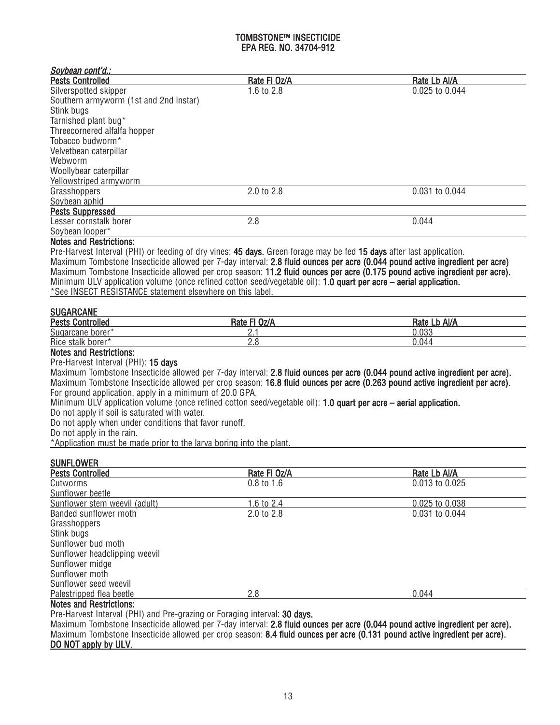| Soybean cont'd.:                                                                                                                                                                                                                                                                                                                                                |              |                                                                                                                                                                                                                                                              |
|-----------------------------------------------------------------------------------------------------------------------------------------------------------------------------------------------------------------------------------------------------------------------------------------------------------------------------------------------------------------|--------------|--------------------------------------------------------------------------------------------------------------------------------------------------------------------------------------------------------------------------------------------------------------|
| <b>Pests Controlled</b>                                                                                                                                                                                                                                                                                                                                         | Rate FI Oz/A | Rate Lb Al/A                                                                                                                                                                                                                                                 |
| Silverspotted skipper                                                                                                                                                                                                                                                                                                                                           | 1.6 to 2.8   | 0.025 to 0.044                                                                                                                                                                                                                                               |
| Southern armyworm (1st and 2nd instar)                                                                                                                                                                                                                                                                                                                          |              |                                                                                                                                                                                                                                                              |
| Stink bugs                                                                                                                                                                                                                                                                                                                                                      |              |                                                                                                                                                                                                                                                              |
| Tarnished plant bug*                                                                                                                                                                                                                                                                                                                                            |              |                                                                                                                                                                                                                                                              |
| Threecornered alfalfa hopper                                                                                                                                                                                                                                                                                                                                    |              |                                                                                                                                                                                                                                                              |
| Tobacco budworm*                                                                                                                                                                                                                                                                                                                                                |              |                                                                                                                                                                                                                                                              |
| Velvetbean caterpillar                                                                                                                                                                                                                                                                                                                                          |              |                                                                                                                                                                                                                                                              |
| Webworm                                                                                                                                                                                                                                                                                                                                                         |              |                                                                                                                                                                                                                                                              |
| Woollybear caterpillar                                                                                                                                                                                                                                                                                                                                          |              |                                                                                                                                                                                                                                                              |
| Yellowstriped armyworm                                                                                                                                                                                                                                                                                                                                          |              |                                                                                                                                                                                                                                                              |
| Grasshoppers                                                                                                                                                                                                                                                                                                                                                    | 2.0 to 2.8   | 0.031 to 0.044                                                                                                                                                                                                                                               |
| Soybean aphid                                                                                                                                                                                                                                                                                                                                                   |              |                                                                                                                                                                                                                                                              |
| <b>Pests Suppressed</b>                                                                                                                                                                                                                                                                                                                                         |              |                                                                                                                                                                                                                                                              |
| Lesser cornstalk borer                                                                                                                                                                                                                                                                                                                                          | 2.8          | 0.044                                                                                                                                                                                                                                                        |
| Soybean looper*                                                                                                                                                                                                                                                                                                                                                 |              |                                                                                                                                                                                                                                                              |
| <b>Notes and Restrictions:</b>                                                                                                                                                                                                                                                                                                                                  |              |                                                                                                                                                                                                                                                              |
| Pre-Harvest Interval (PHI) or feeding of dry vines: 45 days. Green forage may be fed 15 days after last application.<br>Minimum ULV application volume (once refined cotton seed/vegetable oil): 1.0 quart per acre – aerial application.<br>*See INSECT RESISTANCE statement elsewhere on this label.                                                          |              | Maximum Tombstone Insecticide allowed per 7-day interval: 2.8 fluid ounces per acre (0.044 pound active ingredient per acre)<br>Maximum Tombstone Insecticide allowed per crop season: 11.2 fluid ounces per acre (0.175 pound active ingredient per acre).  |
| <b>SUGARCANE</b>                                                                                                                                                                                                                                                                                                                                                |              |                                                                                                                                                                                                                                                              |
| <b>Pests Controlled</b>                                                                                                                                                                                                                                                                                                                                         | Rate FI Oz/A | Rate Lb Al/A                                                                                                                                                                                                                                                 |
| Sugarcane borer*                                                                                                                                                                                                                                                                                                                                                | 2.1          | 0.033                                                                                                                                                                                                                                                        |
| Rice stalk borer*                                                                                                                                                                                                                                                                                                                                               | 2.8          | 0.044                                                                                                                                                                                                                                                        |
| <b>Notes and Restrictions:</b><br>Pre-Harvest Interval (PHI): 15 days<br>For ground application, apply in a minimum of 20.0 GPA.<br>Minimum ULV application volume (once refined cotton seed/vegetable oil): 1.0 quart per acre – aerial application.<br>Do not apply if soil is saturated with water.<br>Do not apply when under conditions that favor runoff. |              | Maximum Tombstone Insecticide allowed per 7-day interval: 2.8 fluid ounces per acre (0.044 pound active ingredient per acre).<br>Maximum Tombstone Insecticide allowed per crop season: 16.8 fluid ounces per acre (0.263 pound active ingredient per acre). |
| Do not apply in the rain.                                                                                                                                                                                                                                                                                                                                       |              |                                                                                                                                                                                                                                                              |
| *Application must be made prior to the larva boring into the plant.                                                                                                                                                                                                                                                                                             |              |                                                                                                                                                                                                                                                              |
| <b>SUNFLOWER</b>                                                                                                                                                                                                                                                                                                                                                |              |                                                                                                                                                                                                                                                              |
| <b>Pests Controlled</b>                                                                                                                                                                                                                                                                                                                                         | Rate FI Oz/A | Rate Lb AI/A                                                                                                                                                                                                                                                 |
| Cutworms                                                                                                                                                                                                                                                                                                                                                        | $0.8$ to 1.6 | 0.013 to 0.025                                                                                                                                                                                                                                               |
| Sunflower beetle                                                                                                                                                                                                                                                                                                                                                |              |                                                                                                                                                                                                                                                              |
| Sunflower stem weevil (adult)                                                                                                                                                                                                                                                                                                                                   | 1.6 to 2.4   | 0.025 to 0.038                                                                                                                                                                                                                                               |
| Banded sunflower moth                                                                                                                                                                                                                                                                                                                                           | 2.0 to 2.8   | 0.031 to 0.044                                                                                                                                                                                                                                               |
| Grasshoppers                                                                                                                                                                                                                                                                                                                                                    |              |                                                                                                                                                                                                                                                              |
| Stink bugs                                                                                                                                                                                                                                                                                                                                                      |              |                                                                                                                                                                                                                                                              |
| Sunflower bud moth                                                                                                                                                                                                                                                                                                                                              |              |                                                                                                                                                                                                                                                              |
| Sunflower headclipping weevil                                                                                                                                                                                                                                                                                                                                   |              |                                                                                                                                                                                                                                                              |
| Sunflower midge                                                                                                                                                                                                                                                                                                                                                 |              |                                                                                                                                                                                                                                                              |
| Sunflower moth                                                                                                                                                                                                                                                                                                                                                  |              |                                                                                                                                                                                                                                                              |
|                                                                                                                                                                                                                                                                                                                                                                 |              |                                                                                                                                                                                                                                                              |
| Sunflower seed weevil<br>Palestripped flea beetle                                                                                                                                                                                                                                                                                                               | 2.8          | 0.044                                                                                                                                                                                                                                                        |
| <b>Notes and Restrictions:</b>                                                                                                                                                                                                                                                                                                                                  |              |                                                                                                                                                                                                                                                              |
| Dre Harvest Interval (DHI) and Dre grazing or Escaging interval: 20 days                                                                                                                                                                                                                                                                                        |              |                                                                                                                                                                                                                                                              |

Pre-Harvest Interval (PHI) and Pre-grazing or Foraging interval: 30 days.

Maximum Tombstone Insecticide allowed per 7-day interval: 2.8 fluid ounces per acre (0.044 pound active ingredient per acre). Maximum Tombstone Insecticide allowed per crop season: 8.4 fluid ounces per acre (0.131 pound active ingredient per acre). DO NOT apply by ULV.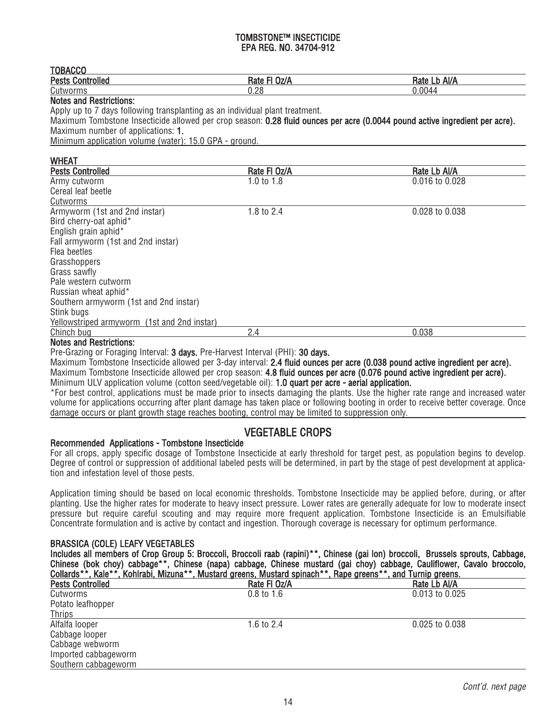| . . <i>.</i>                       |      |                     |
|------------------------------------|------|---------------------|
| <br><b>Pests</b><br>*rolled<br>uon | Ratr | Al/f<br>nait<br>–⊌. |
| Cut<br>VOITIIS                     | 0.28 | J.004 <sup>4</sup>  |
|                                    |      |                     |

## Notes and Restrictions:

**TOBACCO** 

Apply up to 7 days following transplanting as an individual plant treatment.

Maximum Tombstone Insecticide allowed per crop season: 0.28 fluid ounces per acre (0.0044 pound active ingredient per acre). Maximum number of applications: 1.

Minimum application volume (water): 15.0 GPA - ground.

| <b>WHEAT</b>                                |              |                |
|---------------------------------------------|--------------|----------------|
| <b>Pests Controlled</b>                     | Rate FI Oz/A | Rate Lb Al/A   |
| Army cutworm                                | 1.0 to $1.8$ | 0.016 to 0.028 |
| Cereal leaf beetle                          |              |                |
| Cutworms                                    |              |                |
| Armyworm (1st and 2nd instar)               | 1.8 to 2.4   | 0.028 to 0.038 |
| Bird cherry-oat aphid*                      |              |                |
| English grain aphid*                        |              |                |
| Fall armyworm (1st and 2nd instar)          |              |                |
| Flea beetles                                |              |                |
| Grasshoppers                                |              |                |
| Grass sawfly                                |              |                |
| Pale western cutworm                        |              |                |
| Russian wheat aphid*                        |              |                |
| Southern armyworm (1st and 2nd instar)      |              |                |
| Stink bugs                                  |              |                |
| Yellowstriped armyworm (1st and 2nd instar) |              |                |
| Chinch bug                                  | 2.4          | 0.038          |
|                                             |              |                |

# Notes and Restrictions:

Pre-Grazing or Foraging Interval: 3 days. Pre-Harvest Interval (PHI): 30 days.

Maximum Tombstone Insecticide allowed per 3-day interval: 2.4 fluid ounces per acre (0.038 pound active ingredient per acre). Maximum Tombstone Insecticide allowed per crop season: 4.8 fluid ounces per acre (0.076 pound active ingredient per acre). Minimum ULV application volume (cotton seed/vegetable oil): **1.0 quart per acre - aerial application.** 

\*For best control, applications must be made prior to insects damaging the plants. Use the higher rate range and increased water volume for applications occurring after plant damage has taken place or following booting in order to receive better coverage. Once damage occurs or plant growth stage reaches booting, control may be limited to suppression only.

# VEGETABLE CROPS

# Recommended Applications - Tombstone Insecticide

For all crops, apply specific dosage of Tombstone Insecticide at early threshold for target pest, as population begins to develop. Degree of control or suppression of additional labeled pests will be determined, in part by the stage of pest development at application and infestation level of those pests.

Application timing should be based on local economic thresholds. Tombstone Insecticide may be applied before, during, or after planting. Use the higher rates for moderate to heavy insect pressure. Lower rates are generally adequate for low to moderate insect pressure but require careful scouting and may require more frequent application. Tombstone Insecticide is an Emulsifiable Concentrate formulation and is active by contact and ingestion. Thorough coverage is necessary for optimum performance.

# BRASSICA (COLE) LEAFY VEGETABLES

Includes all members of Crop Group 5: Broccoli, Broccoli raab (rapini)\*\*, Chinese (gai lon) broccoli, Brussels sprouts, Cabbage, Chinese (bok choy) cabbage\*\*, Chinese (napa) cabbage, Chinese mustard (gai choy) cabbage, Cauliflower, Cavalo broccolo, Collards\*\*, Kale\*\*, Kohlrabi, Mizuna\*\*, Mustard greens, Mustard spinach\*\*, Rape greens\*\*, and Turnip greens.

| -------                 | i izatiti na katika ilimentwa katika katika katika katika katika katika katika katika katika katika katika kat | 1.911911.9111.19931.9911.911 |
|-------------------------|----------------------------------------------------------------------------------------------------------------|------------------------------|
| <b>Pests Controlled</b> | Rate FI Oz/A                                                                                                   | Rate Lb Al/A                 |
| Cutworms                | $0.8 \text{ to } 1.6$                                                                                          | 0.013 to 0.025               |
| Potato leafhopper       |                                                                                                                |                              |
| <b>Thrips</b>           |                                                                                                                |                              |
| Alfalfa looper          | 1.6 to 2.4                                                                                                     | 0.025 to 0.038               |
| Cabbage looper          |                                                                                                                |                              |
| Cabbage webworm         |                                                                                                                |                              |
| Imported cabbageworm    |                                                                                                                |                              |
| Southern cabbageworm    |                                                                                                                |                              |
|                         |                                                                                                                |                              |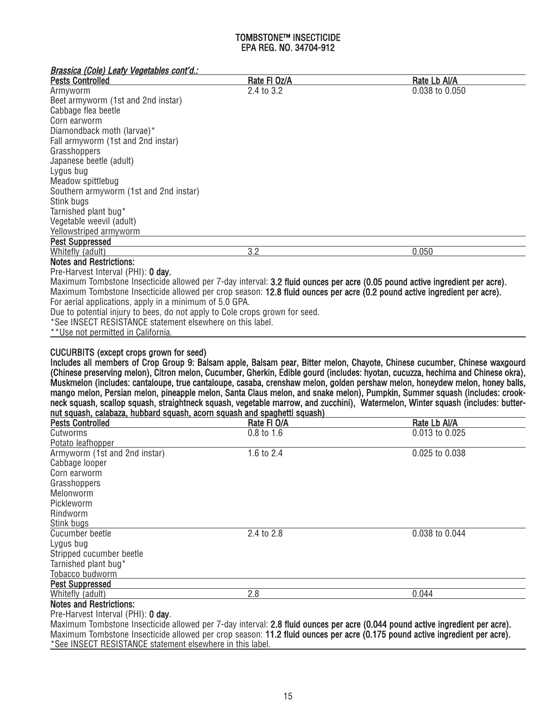| Brassica (Cole) Leafy Vegetables cont'd.:                                                                                    |              |                |
|------------------------------------------------------------------------------------------------------------------------------|--------------|----------------|
| <b>Pests Controlled</b>                                                                                                      | Rate FI Oz/A | Rate Lb Al/A   |
| Armyworm                                                                                                                     | 2.4 to 3.2   | 0.038 to 0.050 |
| Beet armyworm (1st and 2nd instar)                                                                                           |              |                |
| Cabbage flea beetle                                                                                                          |              |                |
| Corn earworm                                                                                                                 |              |                |
| Diamondback moth (larvae)*                                                                                                   |              |                |
| Fall armyworm (1st and 2nd instar)                                                                                           |              |                |
| Grasshoppers                                                                                                                 |              |                |
| Japanese beetle (adult)                                                                                                      |              |                |
| Lygus bug                                                                                                                    |              |                |
| Meadow spittlebug                                                                                                            |              |                |
| Southern armyworm (1st and 2nd instar)                                                                                       |              |                |
| Stink bugs                                                                                                                   |              |                |
| Tarnished plant bug*                                                                                                         |              |                |
| Vegetable weevil (adult)                                                                                                     |              |                |
| Yellowstriped armyworm                                                                                                       |              |                |
| <b>Pest Suppressed</b>                                                                                                       |              |                |
| Whitefly (adult)                                                                                                             | 3.2          | 0.050          |
| <b>Notes and Restrictions:</b>                                                                                               |              |                |
| Pre-Harvest Interval (PHI): 0 day.                                                                                           |              |                |
| Maximum Tombstone Insecticide allowed per 7-day interval: 3.2 fluid ounces per acre (0.05 pound active ingredient per acre). |              |                |
| Maximum Tombstone Insecticide allowed per crop season: 12.8 fluid ounces per acre (0.2 pound active ingredient per acre).    |              |                |
| For aerial applications, apply in a minimum of 5.0 GPA.                                                                      |              |                |
| Due to potential injury to bees, do not apply to Cole crops grown for seed.                                                  |              |                |
| *See INSECT RESISTANCE statement elsewhere on this label.                                                                    |              |                |
| **Use not permitted in California.                                                                                           |              |                |

# CUCURBITS (except crops grown for seed)

Includes all members of Crop Group 9: Balsam apple, Balsam pear, Bitter melon, Chayote, Chinese cucumber, Chinese waxgourd (Chinese preserving melon), Citron melon, Cucumber, Gherkin, Edible gourd (includes: hyotan, cucuzza, hechima and Chinese okra), Muskmelon (includes: cantaloupe, true cantaloupe, casaba, crenshaw melon, golden pershaw melon, honeydew melon, honey balls, mango melon, Persian melon, pineapple melon, Santa Claus melon, and snake melon), Pumpkin, Summer squash (includes: crookneck squash, scallop squash, straightneck squash, vegetable marrow, and zucchini), Watermelon, Winter squash (includes: butternut squash, calabaza, hubbard squash, acorn squash and spaghetti squash)

| <b>Pests Controlled</b>            | Rate FI O/A | Rate Lb Al/A                                                                                                                               |
|------------------------------------|-------------|--------------------------------------------------------------------------------------------------------------------------------------------|
| Cutworms                           | 0.8 to 1.6  | 0.013 to 0.025                                                                                                                             |
| Potato leafhopper                  |             |                                                                                                                                            |
| Armyworm (1st and 2nd instar)      | 1.6 to 2.4  | 0.025 to 0.038                                                                                                                             |
| Cabbage looper                     |             |                                                                                                                                            |
| Corn earworm                       |             |                                                                                                                                            |
| Grasshoppers                       |             |                                                                                                                                            |
| Melonworm                          |             |                                                                                                                                            |
| Pickleworm                         |             |                                                                                                                                            |
| Rindworm                           |             |                                                                                                                                            |
| Stink bugs                         |             |                                                                                                                                            |
| Cucumber beetle                    | 2.4 to 2.8  | 0.038 to 0.044                                                                                                                             |
| Lygus bug                          |             |                                                                                                                                            |
| Stripped cucumber beetle           |             |                                                                                                                                            |
| Tarnished plant bug*               |             |                                                                                                                                            |
| Tobacco budworm                    |             |                                                                                                                                            |
| <b>Pest Suppressed</b>             |             |                                                                                                                                            |
| Whitefly (adult)                   | 2.8         | 0.044                                                                                                                                      |
| <b>Notes and Restrictions:</b>     |             |                                                                                                                                            |
| Pre-Harvest Interval (PHI): 0 day. |             |                                                                                                                                            |
|                                    |             | Marrier in Temperature Incorporate the collection $7$ der top only 0.0 fluid among any company $\ell$ 0.044 against additional and against |

Maximum Tombstone Insecticide allowed per 7-day interval: 2.8 fluid ounces per acre (0.044 pound active ingredient per acre). Maximum Tombstone Insecticide allowed per crop season: 11.2 fluid ounces per acre (0.175 pound active ingredient per acre). \*See INSECT RESISTANCE statement elsewhere in this label.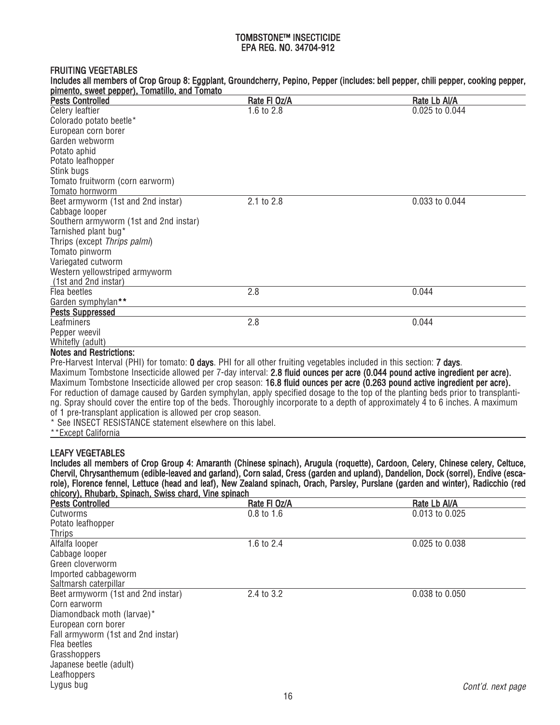#### FRUITING VEGETABLES

| pimento, sweet pepper), Tomatillo, and Tomato |              |                |
|-----------------------------------------------|--------------|----------------|
| <b>Pests Controlled</b>                       | Rate FI Oz/A | Rate Lb Al/A   |
| Celery leaftier                               | 1.6 to 2.8   | 0.025 to 0.044 |
| Colorado potato beetle*                       |              |                |
| European corn borer                           |              |                |
| Garden webworm                                |              |                |
| Potato aphid                                  |              |                |
| Potato leafhopper                             |              |                |
| Stink bugs                                    |              |                |
| Tomato fruitworm (corn earworm)               |              |                |
| Tomato hornworm                               |              |                |
| Beet armyworm (1st and 2nd instar)            | 2.1 to 2.8   | 0.033 to 0.044 |
| Cabbage looper                                |              |                |
| Southern armyworm (1st and 2nd instar)        |              |                |
| Tarnished plant bug*                          |              |                |
| Thrips (except Thrips palmi)                  |              |                |
| Tomato pinworm                                |              |                |
| Variegated cutworm                            |              |                |
| Western yellowstriped armyworm                |              |                |
| (1st and 2nd instar)                          |              |                |
| Flea beetles                                  | 2.8          | 0.044          |
| Garden symphylan**                            |              |                |
| <b>Pests Suppressed</b>                       |              |                |
| Leafminers                                    | 2.8          | 0.044          |
| Pepper weevil                                 |              |                |
| Whitefly (adult)                              |              |                |
| Notes and Restrictions:                       |              |                |

Includes all members of Crop Group 8: Eggplant, Groundcherry, Pepino, Pepper (includes: bell pepper, chili pepper, cooking pepper,

#### Notes and Restrictions:

Pre-Harvest Interval (PHI) for tomato: 0 days. PHI for all other fruiting vegetables included in this section: 7 days. Maximum Tombstone Insecticide allowed per 7-day interval: 2.8 fluid ounces per acre (0.044 pound active ingredient per acre). Maximum Tombstone Insecticide allowed per crop season: 16.8 fluid ounces per acre (0.263 pound active ingredient per acre). For reduction of damage caused by Garden symphylan, apply specified dosage to the top of the planting beds prior to transplanting. Spray should cover the entire top of the beds. Thoroughly incorporate to a depth of approximately 4 to 6 inches. A maximum of 1 pre-transplant application is allowed per crop season.

\* See INSECT RESISTANCE statement elsewhere on this label.

\*\*Except California

# LEAFY VEGETABLES

Includes all members of Crop Group 4: Amaranth (Chinese spinach), Arugula (roquette), Cardoon, Celery, Chinese celery, Celtuce, Chervil, Chrysanthemum (edible-leaved and garland), Corn salad, Cress (garden and upland), Dandelion, Dock (sorrel), Endive (escarole), Florence fennel, Lettuce (head and leaf), New Zealand spinach, Orach, Parsley, Purslane (garden and winter), Radicchio (red chicory), Rhubarb, Spinach, Swiss chard, Vine spinach

| <b>Pests Controlled</b>            | Rate FI Oz/A | Rate Lb Al/A      |
|------------------------------------|--------------|-------------------|
| Cutworms                           | 0.8 to 1.6   | 0.013 to 0.025    |
| Potato leafhopper                  |              |                   |
| Thrips                             |              |                   |
| Alfalfa looper                     | 1.6 to 2.4   | 0.025 to 0.038    |
| Cabbage looper                     |              |                   |
| Green cloverworm                   |              |                   |
| Imported cabbageworm               |              |                   |
| Saltmarsh caterpillar              |              |                   |
| Beet armyworm (1st and 2nd instar) | 2.4 to 3.2   | 0.038 to 0.050    |
| Corn earworm                       |              |                   |
| Diamondback moth (larvae)*         |              |                   |
| European corn borer                |              |                   |
| Fall armyworm (1st and 2nd instar) |              |                   |
| Flea beetles                       |              |                   |
| Grasshoppers                       |              |                   |
| Japanese beetle (adult)            |              |                   |
| Leafhoppers                        |              |                   |
| Lygus bug                          |              | Cont'd, next page |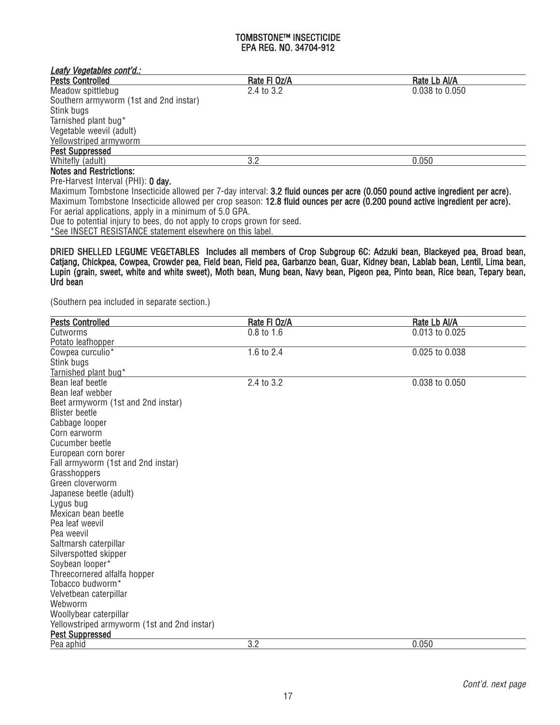| Leafy Vegetables cont'd.:                               |              |                                                                                                                               |
|---------------------------------------------------------|--------------|-------------------------------------------------------------------------------------------------------------------------------|
| <b>Pests Controlled</b>                                 | Rate FI Oz/A | Rate Lb Al/A                                                                                                                  |
| Meadow spittlebug                                       | 2.4 to 3.2   | $0.038$ to $0.050$                                                                                                            |
| Southern armyworm (1st and 2nd instar)                  |              |                                                                                                                               |
| Stink bugs                                              |              |                                                                                                                               |
| Tarnished plant bug*                                    |              |                                                                                                                               |
| Vegetable weevil (adult)                                |              |                                                                                                                               |
| Yellowstriped armyworm                                  |              |                                                                                                                               |
| <b>Pest Suppressed</b>                                  |              |                                                                                                                               |
| Whitefly (adult)                                        | 3.2          | 0.050                                                                                                                         |
| <b>Notes and Restrictions:</b>                          |              |                                                                                                                               |
| Pre-Harvest Interval (PHI): 0 day.                      |              |                                                                                                                               |
|                                                         |              | Maximum Tombstone Insecticide allowed per 7-day interval: 3.2 fluid ounces per acre (0.050 pound active ingredient per acre). |
|                                                         |              | Maximum Tombstone Insecticide allowed per crop season: 12.8 fluid ounces per acre (0.200 pound active ingredient per acre).   |
| For aerial applications, apply in a minimum of 5.0 GPA. |              |                                                                                                                               |
|                                                         |              |                                                                                                                               |

Due to potential injury to bees, do not apply to crops grown for seed.

\*See INSECT RESISTANCE statement elsewhere on this label.

DRIED SHELLED LEGUME VEGETABLES Includes all members of Crop Subgroup 6C: Adzuki bean, Blackeyed pea, Broad bean, Catjang, Chickpea, Cowpea, Crowder pea, Field bean, Field pea, Garbanzo bean, Guar, Kidney bean, Lablab bean, Lentil, Lima bean, Lupin (grain, sweet, white and white sweet), Moth bean, Mung bean, Navy bean, Pigeon pea, Pinto bean, Rice bean, Tepary bean, Urd bean

(Southern pea included in separate section.)

| <b>Pests Controlled</b>                     | Rate FI Oz/A | Rate Lb Al/A   |
|---------------------------------------------|--------------|----------------|
| Cutworms                                    | $0.8$ to 1.6 | 0.013 to 0.025 |
| Potato leafhopper                           |              |                |
| Cowpea curculio*                            | 1.6 to 2.4   | 0.025 to 0.038 |
| Stink bugs                                  |              |                |
| Tarnished plant bug*                        |              |                |
| Bean leaf beetle                            | 2.4 to 3.2   | 0.038 to 0.050 |
| Bean leaf webber                            |              |                |
| Beet armyworm (1st and 2nd instar)          |              |                |
| <b>Blister beetle</b>                       |              |                |
| Cabbage looper                              |              |                |
| Corn earworm                                |              |                |
| Cucumber beetle                             |              |                |
| European corn borer                         |              |                |
| Fall armyworm (1st and 2nd instar)          |              |                |
| Grasshoppers                                |              |                |
| Green cloverworm                            |              |                |
| Japanese beetle (adult)                     |              |                |
| Lygus bug                                   |              |                |
| Mexican bean beetle                         |              |                |
| Pea leaf weevil                             |              |                |
| Pea weevil                                  |              |                |
| Saltmarsh caterpillar                       |              |                |
| Silverspotted skipper                       |              |                |
| Soybean looper*                             |              |                |
| Threecornered alfalfa hopper                |              |                |
| Tobacco budworm <sup>*</sup>                |              |                |
| Velvetbean caterpillar                      |              |                |
| Webworm                                     |              |                |
| Woollybear caterpillar                      |              |                |
| Yellowstriped armyworm (1st and 2nd instar) |              |                |
| <b>Pest Suppressed</b>                      |              |                |
| Pea aphid                                   | 3.2          | 0.050          |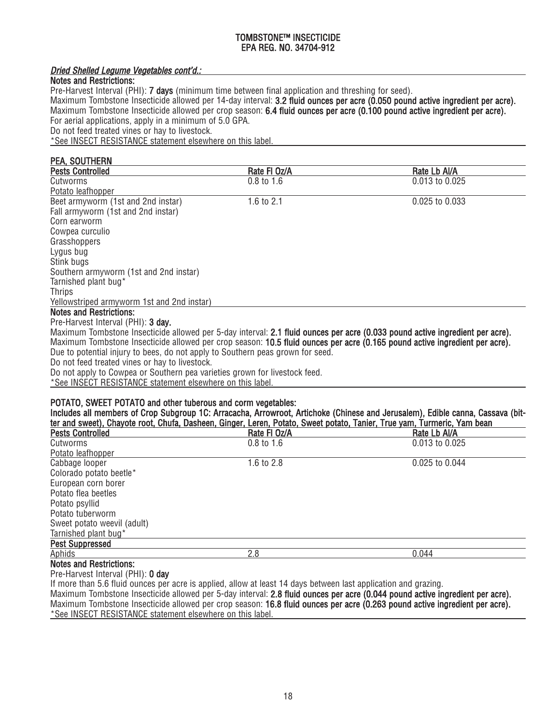# Dried Shelled Legume Vegetables cont'd.:

# Notes and Restrictions:

Pre-Harvest Interval (PHI): **7 days** (minimum time between final application and threshing for seed).

Maximum Tombstone Insecticide allowed per 14-day interval: 3.2 fluid ounces per acre (0.050 pound active ingredient per acre). Maximum Tombstone Insecticide allowed per crop season: 6.4 fluid ounces per acre (0.100 pound active ingredient per acre). For aerial applications, apply in a minimum of 5.0 GPA. Do not feed treated vines or hay to livestock.

\*See INSECT RESISTANCE statement elsewhere on this label.

## PEA, SOUTHERN Pests Controlled **Rate Fl Oz/A** Rate Fl Oz/A Rate Research Rate Controlled Rate Lb Al/A Cutworms 0.8 to 1.6 0.013 to 0.025 Potato leafhopper Beet armyworm (1st and 2nd instar) 1.6 to 2.1 0.025 to 0.033 Fall armyworm (1st and 2nd instar) Corn earworm Cowpea curculio **Grasshoppers** Lygus bug Stink bugs Southern armyworm (1st and 2nd instar) Tarnished plant bug\* Thrips Yellowstriped armyworm 1st and 2nd instar) Notes and Restrictions: Pre-Harvest Interval (PHI): 3 day. Maximum Tombstone Insecticide allowed per 5-day interval: 2.1 fluid ounces per acre (0.033 pound active ingredient per acre). Maximum Tombstone Insecticide allowed per crop season: 10.5 fluid ounces per acre (0.165 pound active ingredient per acre). Due to potential injury to bees, do not apply to Southern peas grown for seed. Do not feed treated vines or hay to livestock. Do not apply to Cowpea or Southern pea varieties grown for livestock feed. \*See INSECT RESISTANCE statement elsewhere on this label. POTATO, SWEET POTATO and other tuberous and corm vegetables: Includes all members of Crop Subgroup 1C: Arracacha, Arrowroot, Artichoke (Chinese and Jerusalem), Edible canna, Cassava (bit-

| ter and sweet), Chayote root, Chufa, Dasheen, Ginger, Leren, Potato, Sweet potato, Tanier, True yam, Turmeric, Yam bean |                       |                    |
|-------------------------------------------------------------------------------------------------------------------------|-----------------------|--------------------|
| <b>Pests Controlled</b>                                                                                                 | Rate FI Oz/A          | Rate Lb Al/A       |
| Cutworms                                                                                                                | $0.8 \text{ to } 1.6$ | 0.013 to 0.025     |
| Potato leafhopper                                                                                                       |                       |                    |
| Cabbage looper                                                                                                          | 1.6 to $2.8$          | $0.025$ to $0.044$ |
| Colorado potato beetle*                                                                                                 |                       |                    |
| European corn borer                                                                                                     |                       |                    |
| Potato flea beetles                                                                                                     |                       |                    |
| Potato psyllid                                                                                                          |                       |                    |
| Potato tuberworm                                                                                                        |                       |                    |
| Sweet potato weevil (adult)                                                                                             |                       |                    |
| Tarnished plant bug*                                                                                                    |                       |                    |
| <b>Pest Suppressed</b>                                                                                                  |                       |                    |
| Aphids                                                                                                                  | 2.8                   | 0.044              |
| <b>Notes and Restrictions:</b>                                                                                          |                       |                    |

Pre-Harvest Interval (PHI): 0 day

If more than 5.6 fluid ounces per acre is applied, allow at least 14 days between last application and grazing.

Maximum Tombstone Insecticide allowed per 5-day interval: 2.8 fluid ounces per acre (0.044 pound active ingredient per acre). Maximum Tombstone Insecticide allowed per crop season: 16.8 fluid ounces per acre (0.263 pound active ingredient per acre). \*See INSECT RESISTANCE statement elsewhere on this label.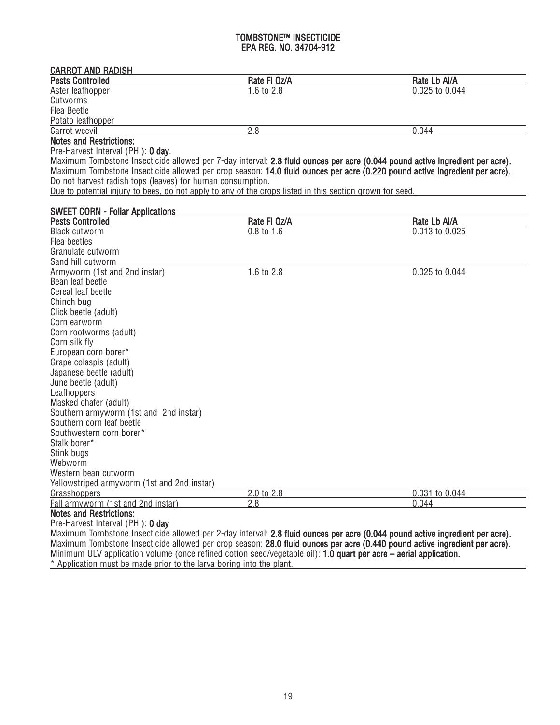#### CARROT AND RADISH Pests Controlled Rate Fl Oz/A Rate Controlled Rate Lo Al/A Rate Lo Al/A Rate Lo Al/A Rate Lo Al/A Rate Lo Al/A Rate Lo Al/A 2.8 0.025 to 0.044 Aster leafhopper

| Cutworms          |            |       |  |
|-------------------|------------|-------|--|
| Flea Beetle       |            |       |  |
| Potato leafhopper |            |       |  |
| Carrot weevil     | ח ו<br>۵.c | 0.044 |  |

## Notes and Restrictions:

Pre-Harvest Interval (PHI): 0 day.

Maximum Tombstone Insecticide allowed per 7-day interval: 2.8 fluid ounces per acre (0.044 pound active ingredient per acre). Maximum Tombstone Insecticide allowed per crop season: 14.0 fluid ounces per acre (0.220 pound active ingredient per acre). Do not harvest radish tops (leaves) for human consumption.

Due to potential injury to bees, do not apply to any of the crops listed in this section grown for seed.

| <b>SWEET CORN - Foliar Applications</b>     |              |                |
|---------------------------------------------|--------------|----------------|
| <b>Pests Controlled</b>                     | Rate FI Oz/A | Rate Lb Al/A   |
| <b>Black cutworm</b>                        | $0.8$ to 1.6 | 0.013 to 0.025 |
| Flea beetles                                |              |                |
| Granulate cutworm                           |              |                |
| Sand hill cutworm                           |              |                |
| Armyworm (1st and 2nd instar)               | 1.6 to 2.8   | 0.025 to 0.044 |
| Bean leaf beetle                            |              |                |
| Cereal leaf beetle                          |              |                |
| Chinch bug                                  |              |                |
| Click beetle (adult)                        |              |                |
| Corn earworm                                |              |                |
| Corn rootworms (adult)                      |              |                |
| Corn silk fly                               |              |                |
| European corn borer*                        |              |                |
| Grape colaspis (adult)                      |              |                |
| Japanese beetle (adult)                     |              |                |
| June beetle (adult)                         |              |                |
| Leafhoppers                                 |              |                |
| Masked chafer (adult)                       |              |                |
| Southern armyworm (1st and 2nd instar)      |              |                |
| Southern corn leaf beetle                   |              |                |
| Southwestern corn borer*                    |              |                |
| Stalk borer*                                |              |                |
| Stink bugs                                  |              |                |
| Webworm                                     |              |                |
| Western bean cutworm                        |              |                |
| Yellowstriped armyworm (1st and 2nd instar) |              |                |
| <b>Grasshoppers</b>                         | 2.0 to 2.8   | 0.031 to 0.044 |
| Fall armyworm (1st and 2nd instar)          | 2.8          | 0.044          |
| <b>Notes and Restrictions:</b>              |              |                |

#### Pre-Harvest Interval (PHI): 0 day

Maximum Tombstone Insecticide allowed per 2-day interval: 2.8 fluid ounces per acre (0.044 pound active ingredient per acre). Maximum Tombstone Insecticide allowed per crop season: 28.0 fluid ounces per acre (0.440 pound active ingredient per acre). Minimum ULV application volume (once refined cotton seed/vegetable oil): 1.0 quart per acre – aerial application. \* Application must be made prior to the larva boring into the plant.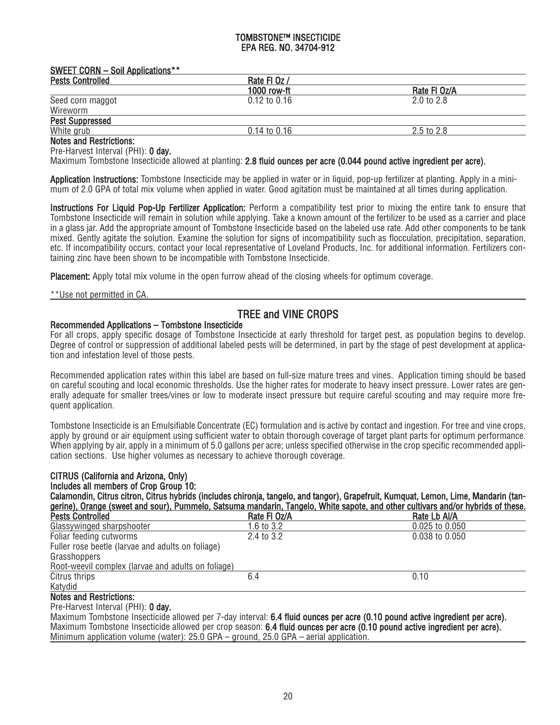| <b>SWEET CORN - Soil Applications**</b> |                  |                       |
|-----------------------------------------|------------------|-----------------------|
| <b>Pests Controlled</b>                 | Rate FI Oz /     |                       |
|                                         | 1000 row-ft      | Rate FI Oz/A          |
| Seed corn maggot                        | $0.12$ to $0.16$ | $2.0 \text{ to } 2.8$ |
| Wireworm                                |                  |                       |
| <b>Pest Suppressed</b>                  |                  |                       |
| White grub                              | $0.14$ to $0.16$ | $2.5 \text{ to } 2.8$ |
| <b>Notes and Restrictions:</b>          |                  |                       |

#### es and Restrictions

Pre-Harvest Interval (PHI): 0 day.

Maximum Tombstone Insecticide allowed at planting: 2.8 fluid ounces per acre (0.044 pound active ingredient per acre).

Application Instructions: Tombstone Insecticide may be applied in water or in liquid, pop-up fertilizer at planting. Apply in a minimum of 2.0 GPA of total mix volume when applied in water. Good agitation must be maintained at all times during application.

Instructions For Liquid Pop-Up Fertilizer Application: Perform a compatibility test prior to mixing the entire tank to ensure that Tombstone Insecticide will remain in solution while applying. Take a known amount of the fertilizer to be used as a carrier and place in a glass jar. Add the appropriate amount of Tombstone Insecticide based on the labeled use rate. Add other components to be tank mixed. Gently agitate the solution. Examine the solution for signs of incompatibility such as flocculation, precipitation, separation, etc. If incompatibility occurs, contact your local representative of Loveland Products, Inc. for additional information. Fertilizers containing zinc have been shown to be incompatible with Tombstone Insecticide.

Placement: Apply total mix volume in the open furrow ahead of the closing wheels for optimum coverage.

\*\*Use not permitted in CA.

# TREE and VINE CROPS

#### Recommended Applications – Tombstone Insecticide

For all crops, apply specific dosage of Tombstone Insecticide at early threshold for target pest, as population begins to develop. Degree of control or suppression of additional labeled pests will be determined, in part by the stage of pest development at application and infestation level of those pests.

Recommended application rates within this label are based on full-size mature trees and vines. Application timing should be based on careful scouting and local economic thresholds. Use the higher rates for moderate to heavy insect pressure. Lower rates are generally adequate for smaller trees/vines or low to moderate insect pressure but require careful scouting and may require more frequent application.

Tombstone Insecticide is an Emulsifiable Concentrate (EC) formulation and is active by contact and ingestion. For tree and vine crops, apply by ground or air equipment using sufficient water to obtain thorough coverage of target plant parts for optimum performance. When applying by air, apply in a minimum of 5.0 gallons per acre; unless specified otherwise in the crop specific recommended application sections. Use higher volumes as necessary to achieve thorough coverage.

#### CITRUS (California and Arizona, Only) Includes all members of Crop Group 10: Calamondin, Citrus citron, Citrus hybrids (includes chironja, tangelo, and tangor), Grapefruit, Kumquat, Lemon, Lime, Mandarin (tangerine), Orange (sweet and sour), Pummelo, Satsuma mandarin, Tangelo, White sapote, and other cultivars and/or hybrids of these.<br>Pests Controlled **Rate Lock of the set of the set of the C**rician Rate FI Oz/A Pests Controlled **Rate Fl Oz/A** Rate Fl Oz/A Rate Lb Al/A Rate Lb Al/A Rate Lb Al/A Classywinged sharpshooter 1.6 to 3.2 Glassywinged sharpshooter 1.6 to 3.2 0.025 to 0.050<br>Foliar feeding cutworms 2.4 to 3.2 0.038 to 0.050 Foliar feeding cutworms Fuller rose beetle (larvae and adults on foliage) **Grasshoppers** Root-weevil complex (larvae and adults on foliage) Citrus thrips 6.4 0.10 Katydid Notes and Restrictions:

Pre-Harvest Interval (PHI): 0 day.

Maximum Tombstone Insecticide allowed per 7-day interval: 6.4 fluid ounces per acre (0.10 pound active ingredient per acre). Maximum Tombstone Insecticide allowed per crop season: 6.4 fluid ounces per acre (0.10 pound active ingredient per acre). Minimum application volume (water): 25.0 GPA – ground, 25.0 GPA – aerial application.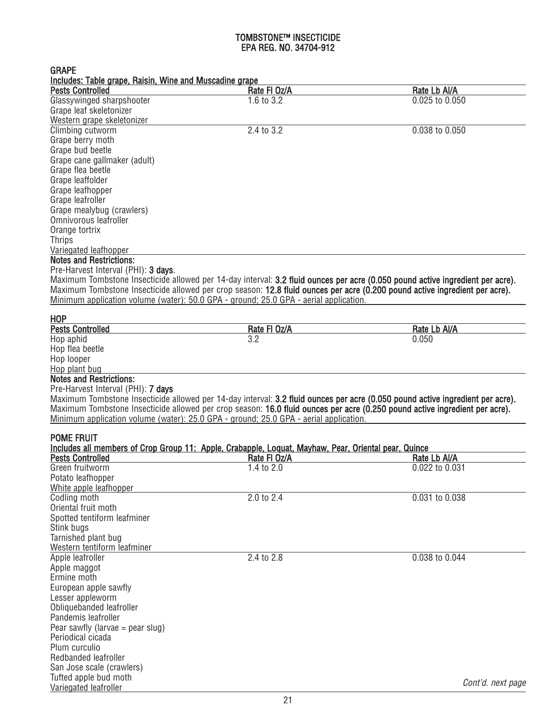| <b>GRAPE</b>                                                                                                                   |              |                   |
|--------------------------------------------------------------------------------------------------------------------------------|--------------|-------------------|
| Includes: Table grape, Raisin, Wine and Muscadine grape                                                                        |              |                   |
| <b>Pests Controlled</b>                                                                                                        | Rate FI Oz/A | Rate Lb Al/A      |
| Glassywinged sharpshooter                                                                                                      | 1.6 to 3.2   | 0.025 to 0.050    |
| Grape leaf skeletonizer                                                                                                        |              |                   |
| Western grape skeletonizer                                                                                                     |              |                   |
| Climbing cutworm                                                                                                               | 2.4 to 3.2   | 0.038 to 0.050    |
| Grape berry moth                                                                                                               |              |                   |
| Grape bud beetle                                                                                                               |              |                   |
| Grape cane gallmaker (adult)                                                                                                   |              |                   |
| Grape flea beetle                                                                                                              |              |                   |
| Grape leaffolder                                                                                                               |              |                   |
| Grape leafhopper                                                                                                               |              |                   |
| Grape leafroller                                                                                                               |              |                   |
| Grape mealybug (crawlers)                                                                                                      |              |                   |
| Omnivorous leafroller                                                                                                          |              |                   |
| Orange tortrix                                                                                                                 |              |                   |
| <b>Thrips</b>                                                                                                                  |              |                   |
| Variegated leafhopper                                                                                                          |              |                   |
| <b>Notes and Restrictions:</b>                                                                                                 |              |                   |
| Pre-Harvest Interval (PHI): 3 days.                                                                                            |              |                   |
|                                                                                                                                |              |                   |
| Maximum Tombstone Insecticide allowed per 14-day interval: 3.2 fluid ounces per acre (0.050 pound active ingredient per acre). |              |                   |
| Maximum Tombstone Insecticide allowed per crop season: 12.8 fluid ounces per acre (0.200 pound active ingredient per acre).    |              |                   |
| Minimum application volume (water): 50.0 GPA - ground; 25.0 GPA - aerial application.                                          |              |                   |
| <b>HOP</b>                                                                                                                     |              |                   |
| <b>Pests Controlled</b>                                                                                                        | Rate FI Oz/A | Rate Lb Al/A      |
| Hop aphid                                                                                                                      | 3.2          | 0.050             |
| Hop flea beetle                                                                                                                |              |                   |
| Hop looper                                                                                                                     |              |                   |
| Hop plant bug                                                                                                                  |              |                   |
| <b>Notes and Restrictions:</b>                                                                                                 |              |                   |
|                                                                                                                                |              |                   |
| Pre-Harvest Interval (PHI): 7 days                                                                                             |              |                   |
| Maximum Tombstone Insecticide allowed per 14-day interval: 3.2 fluid ounces per acre (0.050 pound active ingredient per acre). |              |                   |
| Maximum Tombstone Insecticide allowed per crop season: 16.0 fluid ounces per acre (0.250 pound active ingredient per acre).    |              |                   |
| Minimum application volume (water): 25.0 GPA - ground; 25.0 GPA - aerial application.                                          |              |                   |
| <b>POME FRUIT</b>                                                                                                              |              |                   |
| Includes all members of Crop Group 11: Apple, Crabapple, Loquat, Mayhaw, Pear, Oriental pear, Quince                           |              |                   |
| <b>Pests Controlled</b>                                                                                                        | Rate FI Oz/A | Rate Lb Al/A      |
|                                                                                                                                |              |                   |
| Green fruitworm                                                                                                                | 1.4 to 2.0   | 0.022 to 0.031    |
| Potato leafhopper                                                                                                              |              |                   |
| White apple leafhopper                                                                                                         |              |                   |
| Codling moth                                                                                                                   | 2.0 to 2.4   | 0.031 to 0.038    |
| Oriental fruit moth                                                                                                            |              |                   |
| Spotted tentiform leafminer                                                                                                    |              |                   |
| Stink bugs                                                                                                                     |              |                   |
| Tarnished plant bug                                                                                                            |              |                   |
| Western tentiform leafminer                                                                                                    |              |                   |
| Apple leafroller                                                                                                               | 2.4 to 2.8   | 0.038 to 0.044    |
| Apple maggot                                                                                                                   |              |                   |
| Ermine moth                                                                                                                    |              |                   |
| European apple sawfly                                                                                                          |              |                   |
| Lesser appleworm                                                                                                               |              |                   |
| Obliquebanded leafroller                                                                                                       |              |                   |
| Pandemis leafroller                                                                                                            |              |                   |
| Pear sawfly (larvae = pear slug)                                                                                               |              |                   |
| Periodical cicada                                                                                                              |              |                   |
| Plum curculio                                                                                                                  |              |                   |
| Redbanded leafroller                                                                                                           |              |                   |
| San Jose scale (crawlers)                                                                                                      |              |                   |
| Tufted apple bud moth                                                                                                          |              |                   |
| Variegated leafroller                                                                                                          |              | Cont'd. next page |
|                                                                                                                                |              |                   |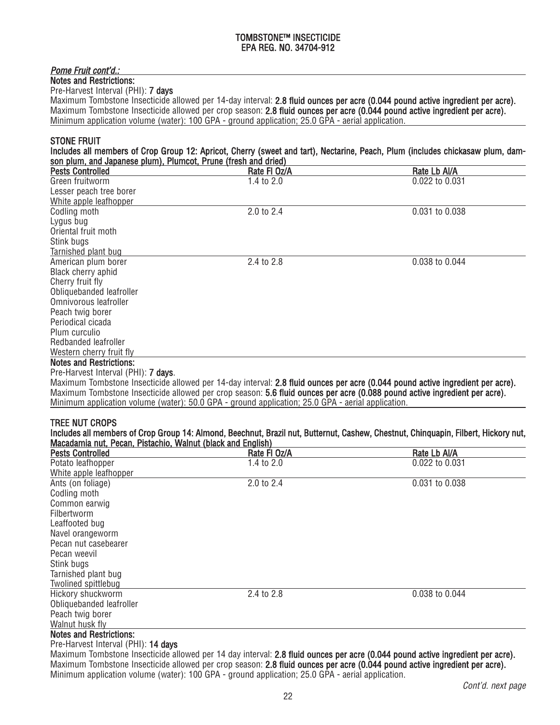# Pome Fruit cont'd.:

Notes and Restrictions: Pre-Harvest Interval (PHI): 7 days

Maximum Tombstone Insecticide allowed per 14-day interval: 2.8 fluid ounces per acre (0.044 pound active ingredient per acre). Maximum Tombstone Insecticide allowed per crop season: 2.8 fluid ounces per acre (0.044 pound active ingredient per acre). Minimum application volume (water): 100 GPA - ground application; 25.0 GPA - aerial application.

Includes all members of Crop Group 12: Apricot, Cherry (sweet and tart), Nectarine, Peach, Plum (includes chickasaw plum, dam-

# STONE FRUIT

|                                                                |              | THURDES AN HIGHDETS OF Grop Group TZ. Apricol, Gherry (Sweet and tart), Nectarine, Peach, Pium (Includes Chickasaw Dium, Qam- |  |
|----------------------------------------------------------------|--------------|-------------------------------------------------------------------------------------------------------------------------------|--|
| son plum, and Japanese plum), Plumcot, Prune (fresh and dried) |              |                                                                                                                               |  |
| <b>Pests Controlled</b>                                        | Rate FI Oz/A | Rate Lb Al/A                                                                                                                  |  |
| Green fruitworm                                                | 1.4 to 2.0   | 0.022 to 0.031                                                                                                                |  |
| Lesser peach tree borer                                        |              |                                                                                                                               |  |
| White apple leafhopper                                         |              |                                                                                                                               |  |
| Codling moth                                                   | 2.0 to 2.4   | 0.031 to 0.038                                                                                                                |  |
| Lygus bug                                                      |              |                                                                                                                               |  |
| Oriental fruit moth                                            |              |                                                                                                                               |  |
| Stink bugs                                                     |              |                                                                                                                               |  |
| Tarnished plant bug                                            |              |                                                                                                                               |  |
| American plum borer                                            | 2.4 to 2.8   | 0.038 to 0.044                                                                                                                |  |
| Black cherry aphid                                             |              |                                                                                                                               |  |
| Cherry fruit fly                                               |              |                                                                                                                               |  |
| Obliquebanded leafroller                                       |              |                                                                                                                               |  |
| Omnivorous leafroller                                          |              |                                                                                                                               |  |
| Peach twig borer                                               |              |                                                                                                                               |  |
| Periodical cicada                                              |              |                                                                                                                               |  |
| Plum curculio                                                  |              |                                                                                                                               |  |
| Redbanded leafroller                                           |              |                                                                                                                               |  |
| Western cherry fruit fly                                       |              |                                                                                                                               |  |
| <b>Notes and Restrictions:</b>                                 |              |                                                                                                                               |  |

#### Pre-Harvest Interval (PHI): 7 days.

Maximum Tombstone Insecticide allowed per 14-day interval: 2.8 fluid ounces per acre (0.044 pound active ingredient per acre). Maximum Tombstone Insecticide allowed per crop season: 5.6 fluid ounces per acre (0.088 pound active ingredient per acre). Minimum application volume (water): 50.0 GPA - ground application; 25.0 GPA - aerial application.

# TREE NUT CROPS

|                                                             | Includes all members of Crop Group 14: Almond, Beechnut, Brazil nut, Butternut, Cashew, Chestnut, Chinquapin, Filbert, Hickory nut, |
|-------------------------------------------------------------|-------------------------------------------------------------------------------------------------------------------------------------|
| Macadamia nut, Pecan, Pistachio, Walnut (black and English) |                                                                                                                                     |

| <b>Pests Controlled</b>        | Rate FI Oz/A | Rate Lb Al/A   |
|--------------------------------|--------------|----------------|
| Potato leafhopper              | 1.4 to 2.0   | 0.022 to 0.031 |
| White apple leafhopper         |              |                |
| Ants (on foliage)              | 2.0 to 2.4   | 0.031 to 0.038 |
| Codling moth                   |              |                |
| Common earwig                  |              |                |
| Filbertworm                    |              |                |
| Leaffooted bug                 |              |                |
| Navel orangeworm               |              |                |
| Pecan nut casebearer           |              |                |
| Pecan weevil                   |              |                |
| Stink bugs                     |              |                |
| Tarnished plant bug            |              |                |
| Twolined spittlebug            |              |                |
| Hickory shuckworm              | 2.4 to 2.8   | 0.038 to 0.044 |
| Obliquebanded leafroller       |              |                |
| Peach twig borer               |              |                |
| Walnut husk fly                |              |                |
| <b>Notes and Restrictions:</b> |              |                |

#### Pre-Harvest Interval (PHI): 14 days

Maximum Tombstone Insecticide allowed per 14 day interval: 2.8 fluid ounces per acre (0.044 pound active ingredient per acre). Maximum Tombstone Insecticide allowed per crop season: 2.8 fluid ounces per acre (0.044 pound active ingredient per acre). Minimum application volume (water): 100 GPA - ground application; 25.0 GPA - aerial application.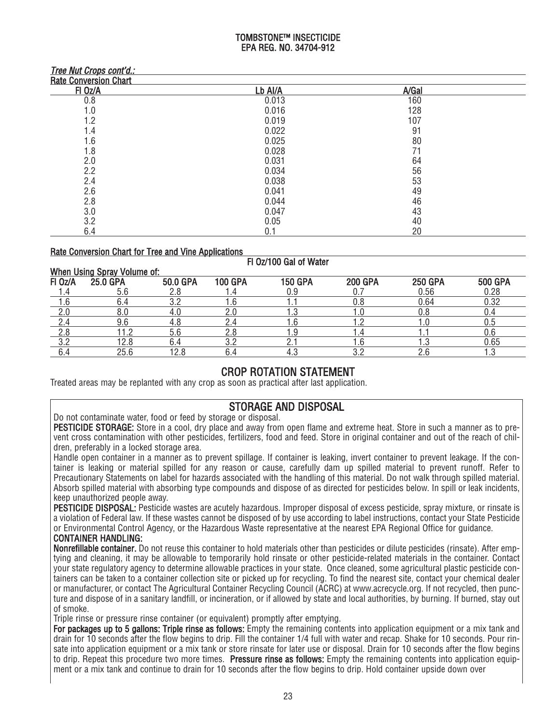| <i><b>Tree Nut Grops cont a.:</b></i> |         |       |  |
|---------------------------------------|---------|-------|--|
| <b>Rate Conversion Chart</b>          |         |       |  |
| FI Oz/A                               | Lb Al/A | A/Gal |  |
| 0.8                                   | 0.013   | 160   |  |
| 1.0                                   | 0.016   | 128   |  |
| 1.2                                   | 0.019   | 107   |  |
| 1.4                                   | 0.022   | 91    |  |
| 1.6                                   | 0.025   | 80    |  |
| 1.8                                   | 0.028   | 71    |  |
| 2.0                                   | 0.031   | 64    |  |
| 2.2                                   | 0.034   | 56    |  |
| 2.4                                   | 0.038   | 53    |  |
| 2.6                                   | 0.041   | 49    |  |
| 2.8                                   | 0.044   | 46    |  |
| 3.0                                   | 0.047   | 43    |  |
| 3.2                                   | 0.05    | 40    |  |
| 6.4                                   | 0.1     | 20    |  |

# Rate Conversion Chart for Tree and Vine Applications

Tree Nut Crops cont'd.:

# Fl Oz/100 Gal of Water

| <b>When Using</b><br>Spray Volume of: |          |          |                |                |                |                |                |  |
|---------------------------------------|----------|----------|----------------|----------------|----------------|----------------|----------------|--|
| FI Oz/A                               | 25.0 GPA | 50.0 GPA | <b>100 GPA</b> | <b>150 GPA</b> | <b>200 GPA</b> | <b>250 GPA</b> | <b>500 GPA</b> |  |
|                                       |          |          |                |                |                | J.56           | 0.28           |  |
|                                       |          |          |                |                |                | 0.64           | 0.32           |  |
|                                       |          |          |                |                |                |                |                |  |
|                                       | 9.6      |          |                |                |                |                | J.5            |  |
|                                       | 1.2      |          | Z.C            | .9             |                |                | 0.6            |  |
|                                       | 12.8     |          | י פ            |                |                |                | 0.65           |  |
| ∪.∸                                   | 25.6     | ה ו      |                | ۰. تا          |                |                | ں. ا           |  |
|                                       |          |          |                |                |                |                |                |  |

# CROP ROTATION STATEMENT

Treated areas may be replanted with any crop as soon as practical after last application.

# STORAGE AND DISPOSAL

Do not contaminate water, food or feed by storage or disposal.

PESTICIDE STORAGE: Store in a cool, dry place and away from open flame and extreme heat. Store in such a manner as to prevent cross contamination with other pesticides, fertilizers, food and feed. Store in original container and out of the reach of children, preferably in a locked storage area.

Handle open container in a manner as to prevent spillage. If container is leaking, invert container to prevent leakage. If the container is leaking or material spilled for any reason or cause, carefully dam up spilled material to prevent runoff. Refer to Precautionary Statements on label for hazards associated with the handling of this material. Do not walk through spilled material. Absorb spilled material with absorbing type compounds and dispose of as directed for pesticides below. In spill or leak incidents, keep unauthorized people away.

PESTICIDE DISPOSAL: Pesticide wastes are acutely hazardous. Improper disposal of excess pesticide, spray mixture, or rinsate is a violation of Federal law. If these wastes cannot be disposed of by use according to label instructions, contact your State Pesticide or Environmental Control Agency, or the Hazardous Waste representative at the nearest EPA Regional Office for guidance.

# CONTAINER HANDLING:

Nonrefillable container. Do not reuse this container to hold materials other than pesticides or dilute pesticides (rinsate). After emptying and cleaning, it may be allowable to temporarily hold rinsate or other pesticide-related materials in the container. Contact your state regulatory agency to determine allowable practices in your state. Once cleaned, some agricultural plastic pesticide containers can be taken to a container collection site or picked up for recycling. To find the nearest site, contact your chemical dealer or manufacturer, or contact The Agricultural Container Recycling Council (ACRC) at www.acrecycle.org. If not recycled, then puncture and dispose of in a sanitary landfill, or incineration, or if allowed by state and local authorities, by burning. If burned, stay out of smoke.

Triple rinse or pressure rinse container (or equivalent) promptly after emptying.

For packages up to 5 gallons: Triple rinse as follows: Empty the remaining contents into application equipment or a mix tank and drain for 10 seconds after the flow begins to drip. Fill the container 1/4 full with water and recap. Shake for 10 seconds. Pour rinsate into application equipment or a mix tank or store rinsate for later use or disposal. Drain for 10 seconds after the flow begins to drip. Repeat this procedure two more times. Pressure rinse as follows: Empty the remaining contents into application equipment or a mix tank and continue to drain for 10 seconds after the flow begins to drip. Hold container upside down over